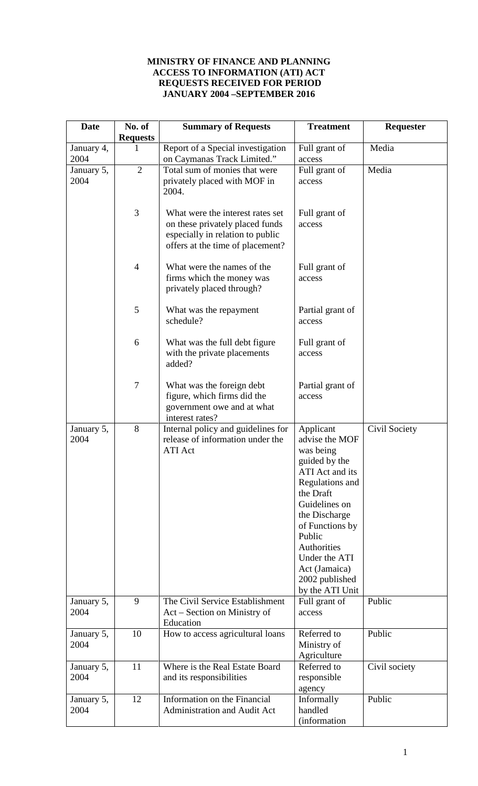## **MINISTRY OF FINANCE AND PLANNING ACCESS TO INFORMATION (ATI) ACT REQUESTS RECEIVED FOR PERIOD JANUARY 2004 –SEPTEMBER 2016**

| <b>Date</b>        | No. of<br><b>Requests</b> | <b>Summary of Requests</b>                                                                                                                  | <b>Treatment</b>                                                                                                                                                                                                                                                  | Requester     |
|--------------------|---------------------------|---------------------------------------------------------------------------------------------------------------------------------------------|-------------------------------------------------------------------------------------------------------------------------------------------------------------------------------------------------------------------------------------------------------------------|---------------|
| January 4,<br>2004 | 1                         | Report of a Special investigation<br>on Caymanas Track Limited."                                                                            | Full grant of<br>access                                                                                                                                                                                                                                           | Media         |
| January 5,<br>2004 | $\overline{2}$            | Total sum of monies that were<br>privately placed with MOF in<br>2004.                                                                      | Full grant of<br>access                                                                                                                                                                                                                                           | Media         |
|                    | 3                         | What were the interest rates set<br>on these privately placed funds<br>especially in relation to public<br>offers at the time of placement? | Full grant of<br>access                                                                                                                                                                                                                                           |               |
|                    | $\overline{4}$            | What were the names of the<br>firms which the money was<br>privately placed through?                                                        | Full grant of<br>access                                                                                                                                                                                                                                           |               |
|                    | 5                         | What was the repayment<br>schedule?                                                                                                         | Partial grant of<br>access                                                                                                                                                                                                                                        |               |
|                    | 6                         | What was the full debt figure<br>with the private placements<br>added?                                                                      | Full grant of<br>access                                                                                                                                                                                                                                           |               |
|                    | $\tau$                    | What was the foreign debt<br>figure, which firms did the<br>government owe and at what<br>interest rates?                                   | Partial grant of<br>access                                                                                                                                                                                                                                        |               |
| January 5,<br>2004 | 8                         | Internal policy and guidelines for<br>release of information under the<br><b>ATI</b> Act                                                    | Applicant<br>advise the MOF<br>was being<br>guided by the<br>ATI Act and its<br>Regulations and<br>the Draft<br>Guidelines on<br>the Discharge<br>of Functions by<br>Public<br>Authorities<br>Under the ATI<br>Act (Jamaica)<br>2002 published<br>by the ATI Unit | Civil Society |
| January 5,<br>2004 | 9                         | The Civil Service Establishment<br>Act – Section on Ministry of<br>Education                                                                | Full grant of<br>access                                                                                                                                                                                                                                           | Public        |
| January 5,<br>2004 | 10                        | How to access agricultural loans                                                                                                            | Referred to<br>Ministry of<br>Agriculture                                                                                                                                                                                                                         | Public        |
| January 5,<br>2004 | 11                        | Where is the Real Estate Board<br>and its responsibilities                                                                                  | Referred to<br>responsible<br>agency                                                                                                                                                                                                                              | Civil society |
| January 5,<br>2004 | 12                        | Information on the Financial<br>Administration and Audit Act                                                                                | Informally<br>handled<br>(information                                                                                                                                                                                                                             | Public        |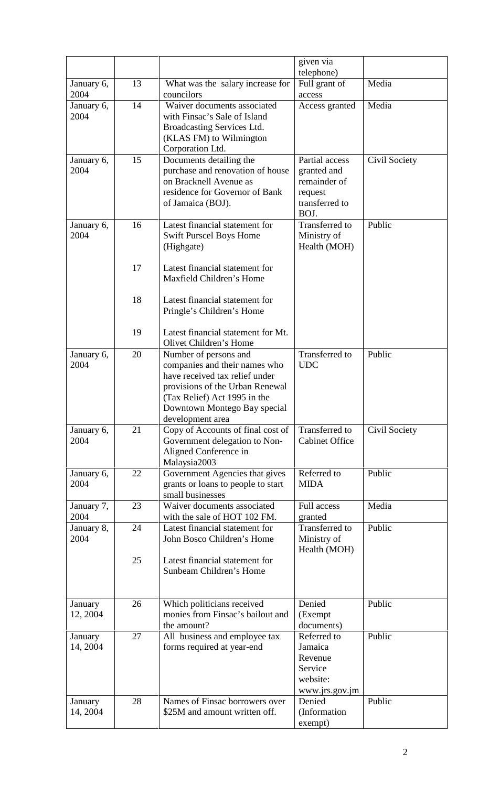|                     |    |                                                                                                                                                                                                                 | given via                                                                          |               |
|---------------------|----|-----------------------------------------------------------------------------------------------------------------------------------------------------------------------------------------------------------------|------------------------------------------------------------------------------------|---------------|
| January 6,          | 13 | What was the salary increase for                                                                                                                                                                                | telephone)<br>Full grant of                                                        | Media         |
| 2004                |    | councilors                                                                                                                                                                                                      | access                                                                             |               |
| January 6,<br>2004  | 14 | Waiver documents associated<br>with Finsac's Sale of Island<br>Broadcasting Services Ltd.<br>(KLAS FM) to Wilmington                                                                                            | Access granted                                                                     | Media         |
| January 6,<br>2004  | 15 | Corporation Ltd.<br>Documents detailing the<br>purchase and renovation of house<br>on Bracknell Avenue as<br>residence for Governor of Bank<br>of Jamaica (BOJ).                                                | Partial access<br>granted and<br>remainder of<br>request<br>transferred to<br>BOJ. | Civil Society |
| January 6,<br>2004  | 16 | Latest financial statement for<br><b>Swift Purscel Boys Home</b><br>(Highgate)                                                                                                                                  | <b>Transferred</b> to<br>Ministry of<br>Health (MOH)                               | Public        |
|                     | 17 | Latest financial statement for<br>Maxfield Children's Home                                                                                                                                                      |                                                                                    |               |
|                     | 18 | Latest financial statement for<br>Pringle's Children's Home                                                                                                                                                     |                                                                                    |               |
|                     | 19 | Latest financial statement for Mt.<br>Olivet Children's Home                                                                                                                                                    |                                                                                    |               |
| January 6,<br>2004  | 20 | Number of persons and<br>companies and their names who<br>have received tax relief under<br>provisions of the Urban Renewal<br>(Tax Relief) Act 1995 in the<br>Downtown Montego Bay special<br>development area | <b>Transferred</b> to<br><b>UDC</b>                                                | Public        |
| January 6,<br>2004  | 21 | Copy of Accounts of final cost of<br>Government delegation to Non-<br>Aligned Conference in                                                                                                                     | <b>Transferred</b> to<br><b>Cabinet Office</b>                                     | Civil Society |
| January 6,<br>2004  | 22 | Malaysia2003<br>Government Agencies that gives<br>grants or loans to people to start<br>small businesses                                                                                                        | Referred to<br><b>MIDA</b>                                                         | Public        |
| January 7,<br>2004  | 23 | Waiver documents associated<br>with the sale of HOT 102 FM.                                                                                                                                                     | <b>Full access</b><br>granted                                                      | Media         |
| January 8,<br>2004  | 24 | Latest financial statement for<br>John Bosco Children's Home                                                                                                                                                    | Transferred to<br>Ministry of<br>Health (MOH)                                      | Public        |
|                     | 25 | Latest financial statement for<br>Sunbeam Children's Home                                                                                                                                                       |                                                                                    |               |
| January<br>12, 2004 | 26 | Which politicians received<br>monies from Finsac's bailout and<br>the amount?                                                                                                                                   | Denied<br>(Exempt)<br>documents)                                                   | Public        |
| January<br>14, 2004 | 27 | All business and employee tax<br>forms required at year-end                                                                                                                                                     | Referred to<br>Jamaica<br>Revenue<br>Service<br>website:<br>www.jrs.gov.jm         | Public        |
| January<br>14, 2004 | 28 | Names of Finsac borrowers over<br>\$25M and amount written off.                                                                                                                                                 | Denied<br>(Information<br>exempt)                                                  | Public        |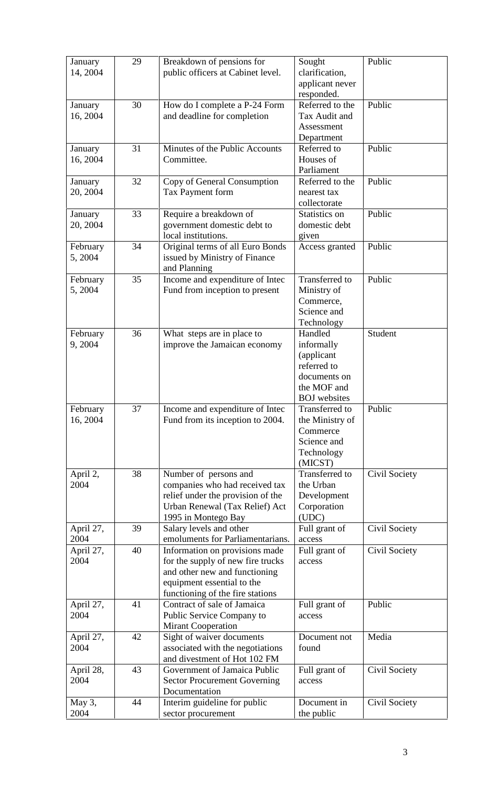| January<br>14, 2004  | 29 | Breakdown of pensions for<br>public officers at Cabinet level.                                                                                                         | Sought<br>clarification,<br>applicant never                                                              | Public        |
|----------------------|----|------------------------------------------------------------------------------------------------------------------------------------------------------------------------|----------------------------------------------------------------------------------------------------------|---------------|
|                      |    |                                                                                                                                                                        | responded.<br>Referred to the                                                                            | Public        |
| January<br>16, 2004  | 30 | How do I complete a P-24 Form<br>and deadline for completion                                                                                                           | Tax Audit and<br>Assessment<br>Department                                                                |               |
| January<br>16, 2004  | 31 | Minutes of the Public Accounts<br>Committee.                                                                                                                           | Referred to<br>Houses of<br>Parliament                                                                   | Public        |
| January<br>20, 2004  | 32 | Copy of General Consumption<br>Tax Payment form                                                                                                                        | Referred to the<br>nearest tax<br>collectorate                                                           | Public        |
| January<br>20, 2004  | 33 | Require a breakdown of<br>government domestic debt to<br>local institutions.                                                                                           | Statistics on<br>domestic debt<br>given                                                                  | Public        |
| February<br>5,2004   | 34 | Original terms of all Euro Bonds<br>issued by Ministry of Finance<br>and Planning                                                                                      | Access granted                                                                                           | Public        |
| February<br>5,2004   | 35 | Income and expenditure of Intec<br>Fund from inception to present                                                                                                      | Transferred to<br>Ministry of<br>Commerce,<br>Science and<br>Technology                                  | Public        |
| February<br>9,2004   | 36 | What steps are in place to<br>improve the Jamaican economy                                                                                                             | Handled<br>informally<br>(applicant<br>referred to<br>documents on<br>the MOF and<br><b>BOJ</b> websites | Student       |
| February<br>16, 2004 | 37 | Income and expenditure of Intec<br>Fund from its inception to 2004.                                                                                                    | Transferred to<br>the Ministry of<br>Commerce<br>Science and<br>Technology<br>(MICST)                    | Public        |
| April 2,<br>2004     | 38 | Number of persons and<br>companies who had received tax<br>relief under the provision of the<br>Urban Renewal (Tax Relief) Act<br>1995 in Montego Bay                  | Transferred to<br>the Urban<br>Development<br>Corporation<br>(UDC)                                       | Civil Society |
| April 27,<br>2004    | 39 | Salary levels and other<br>emoluments for Parliamentarians.                                                                                                            | Full grant of<br>access                                                                                  | Civil Society |
| April 27,<br>2004    | 40 | Information on provisions made<br>for the supply of new fire trucks<br>and other new and functioning<br>equipment essential to the<br>functioning of the fire stations | Full grant of<br>access                                                                                  | Civil Society |
| April 27,<br>2004    | 41 | Contract of sale of Jamaica<br>Public Service Company to<br><b>Mirant Cooperation</b>                                                                                  | Full grant of<br>access                                                                                  | Public        |
| April 27,<br>2004    | 42 | Sight of waiver documents<br>associated with the negotiations<br>and divestment of Hot 102 FM                                                                          | Document not<br>found                                                                                    | Media         |
| April 28,<br>2004    | 43 | Government of Jamaica Public<br><b>Sector Procurement Governing</b><br>Documentation                                                                                   | Full grant of<br>access                                                                                  | Civil Society |
| May 3,<br>2004       | 44 | Interim guideline for public<br>sector procurement                                                                                                                     | Document in<br>the public                                                                                | Civil Society |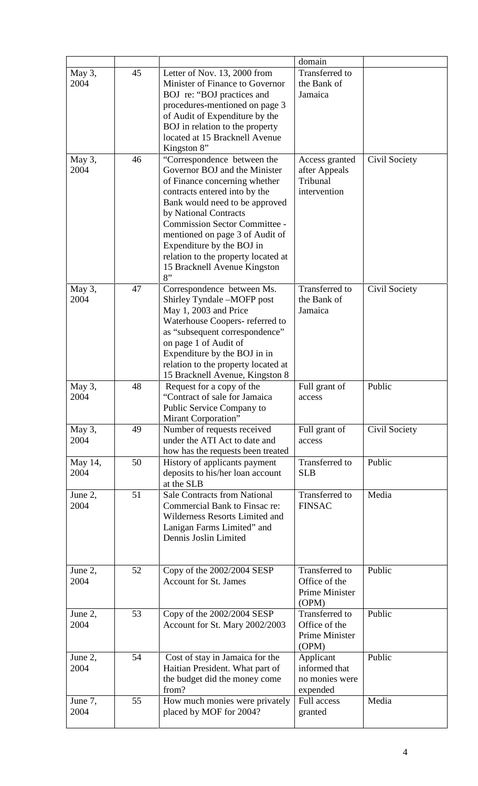|                 |    |                                                                                                                                                                                                                                                                                                                                                                                | domain                                                            |               |
|-----------------|----|--------------------------------------------------------------------------------------------------------------------------------------------------------------------------------------------------------------------------------------------------------------------------------------------------------------------------------------------------------------------------------|-------------------------------------------------------------------|---------------|
| May 3,<br>2004  | 45 | Letter of Nov. 13, 2000 from<br>Minister of Finance to Governor<br>BOJ re: "BOJ practices and<br>procedures-mentioned on page 3<br>of Audit of Expenditure by the<br>BOJ in relation to the property<br>located at 15 Bracknell Avenue<br>Kingston 8"                                                                                                                          | Transferred to<br>the Bank of<br>Jamaica                          |               |
| May 3,<br>2004  | 46 | "Correspondence between the<br>Governor BOJ and the Minister<br>of Finance concerning whether<br>contracts entered into by the<br>Bank would need to be approved<br>by National Contracts<br><b>Commission Sector Committee -</b><br>mentioned on page 3 of Audit of<br>Expenditure by the BOJ in<br>relation to the property located at<br>15 Bracknell Avenue Kingston<br>8" | Access granted<br>after Appeals<br>Tribunal<br>intervention       | Civil Society |
| May 3,<br>2004  | 47 | Correspondence between Ms.<br>Shirley Tyndale -MOFP post<br>May 1, 2003 and Price<br>Waterhouse Coopers- referred to<br>as "subsequent correspondence"<br>on page 1 of Audit of<br>Expenditure by the BOJ in in<br>relation to the property located at<br>15 Bracknell Avenue, Kingston 8                                                                                      | <b>Transferred</b> to<br>the Bank of<br>Jamaica                   | Civil Society |
| May 3,<br>2004  | 48 | Request for a copy of the<br>"Contract of sale for Jamaica<br>Public Service Company to<br>Mirant Corporation"                                                                                                                                                                                                                                                                 | Full grant of<br>access                                           | Public        |
| May 3,<br>2004  | 49 | Number of requests received<br>under the ATI Act to date and<br>how has the requests been treated                                                                                                                                                                                                                                                                              | Full grant of<br>access                                           | Civil Society |
| May 14,<br>2004 | 50 | History of applicants payment<br>deposits to his/her loan account<br>at the SLB                                                                                                                                                                                                                                                                                                | Transferred to<br><b>SLB</b>                                      | Public        |
| June 2,<br>2004 | 51 | <b>Sale Contracts from National</b><br>Commercial Bank to Finsac re:<br>Wilderness Resorts Limited and<br>Lanigan Farms Limited" and<br>Dennis Joslin Limited                                                                                                                                                                                                                  | Transferred to<br><b>FINSAC</b>                                   | Media         |
| June 2,<br>2004 | 52 | Copy of the 2002/2004 SESP<br><b>Account for St. James</b>                                                                                                                                                                                                                                                                                                                     | Transferred to<br>Office of the<br><b>Prime Minister</b><br>(OPM) | Public        |
| June 2,<br>2004 | 53 | Copy of the 2002/2004 SESP<br>Account for St. Mary 2002/2003                                                                                                                                                                                                                                                                                                                   | <b>Transferred</b> to<br>Office of the<br>Prime Minister<br>(OPM) | Public        |
| June 2,<br>2004 | 54 | Cost of stay in Jamaica for the<br>Haitian President. What part of<br>the budget did the money come<br>from?                                                                                                                                                                                                                                                                   | Applicant<br>informed that<br>no monies were<br>expended          | Public        |
| June 7,<br>2004 | 55 | How much monies were privately<br>placed by MOF for 2004?                                                                                                                                                                                                                                                                                                                      | <b>Full access</b><br>granted                                     | Media         |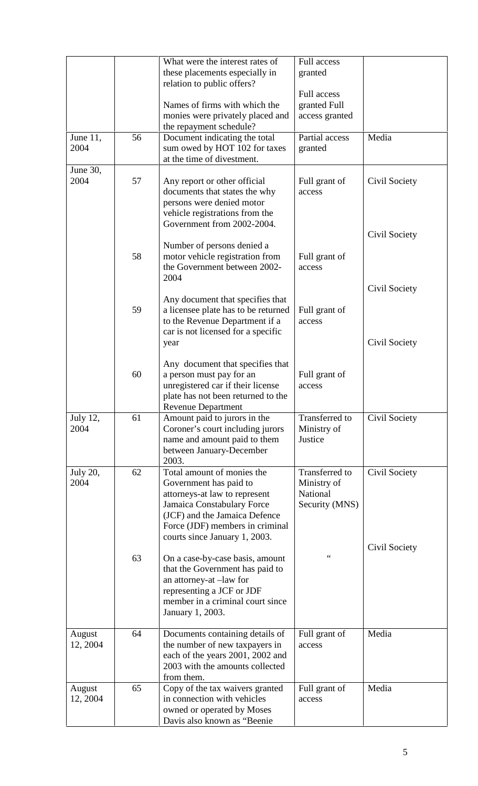|                    |    | What were the interest rates of                                      | <b>Full access</b>             |               |
|--------------------|----|----------------------------------------------------------------------|--------------------------------|---------------|
|                    |    | these placements especially in<br>relation to public offers?         | granted                        |               |
|                    |    |                                                                      | <b>Full access</b>             |               |
|                    |    | Names of firms with which the<br>monies were privately placed and    | granted Full<br>access granted |               |
|                    |    | the repayment schedule?                                              |                                |               |
| June 11,<br>2004   | 56 | Document indicating the total                                        | Partial access                 | Media         |
|                    |    | sum owed by HOT 102 for taxes<br>at the time of divestment.          | granted                        |               |
| June 30,           |    |                                                                      |                                |               |
| 2004               | 57 | Any report or other official<br>documents that states the why        | Full grant of<br>access        | Civil Society |
|                    |    | persons were denied motor                                            |                                |               |
|                    |    | vehicle registrations from the<br>Government from 2002-2004.         |                                |               |
|                    |    |                                                                      |                                | Civil Society |
|                    | 58 | Number of persons denied a<br>motor vehicle registration from        |                                |               |
|                    |    | the Government between 2002-                                         | Full grant of<br>access        |               |
|                    |    | 2004                                                                 |                                |               |
|                    |    | Any document that specifies that                                     |                                | Civil Society |
|                    | 59 | a licensee plate has to be returned                                  | Full grant of                  |               |
|                    |    | to the Revenue Department if a<br>car is not licensed for a specific | access                         |               |
|                    |    | year                                                                 |                                | Civil Society |
|                    |    | Any document that specifies that                                     |                                |               |
|                    | 60 | a person must pay for an                                             | Full grant of                  |               |
|                    |    | unregistered car if their license                                    | access                         |               |
|                    |    | plate has not been returned to the<br><b>Revenue Department</b>      |                                |               |
| July 12,<br>2004   | 61 | Amount paid to jurors in the                                         | <b>Transferred</b> to          | Civil Society |
|                    |    | Coroner's court including jurors<br>name and amount paid to them     | Ministry of<br>Justice         |               |
|                    |    | between January-December                                             |                                |               |
| <b>July 20,</b>    | 62 | 2003.<br>Total amount of monies the                                  | <b>Transferred</b> to          | Civil Society |
| 2004               |    | Government has paid to                                               | Ministry of                    |               |
|                    |    | attorneys-at law to represent<br>Jamaica Constabulary Force          | National<br>Security (MNS)     |               |
|                    |    | (JCF) and the Jamaica Defence                                        |                                |               |
|                    |    | Force (JDF) members in criminal<br>courts since January 1, 2003.     |                                |               |
|                    |    |                                                                      |                                | Civil Society |
|                    | 63 | On a case-by-case basis, amount                                      | $\zeta$ $\zeta$                |               |
|                    |    | that the Government has paid to<br>an attorney-at -law for           |                                |               |
|                    |    | representing a JCF or JDF                                            |                                |               |
|                    |    | member in a criminal court since<br>January 1, 2003.                 |                                |               |
|                    |    |                                                                      |                                |               |
| August<br>12, 2004 | 64 | Documents containing details of<br>the number of new taxpayers in    | Full grant of<br>access        | Media         |
|                    |    | each of the years 2001, 2002 and                                     |                                |               |
|                    |    | 2003 with the amounts collected<br>from them.                        |                                |               |
| August             | 65 | Copy of the tax waivers granted                                      | Full grant of                  | Media         |
| 12, 2004           |    | in connection with vehicles<br>owned or operated by Moses            | access                         |               |
|                    |    | Davis also known as "Beenie                                          |                                |               |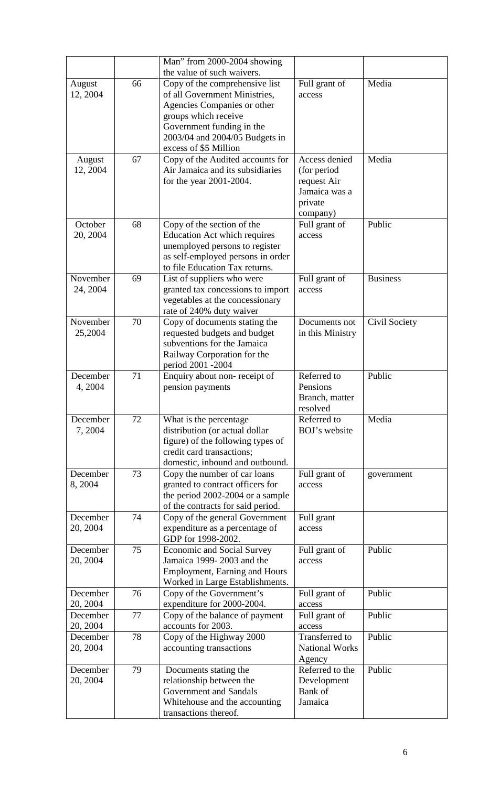|                      |    | Man" from 2000-2004 showing                                                                                                                                                |                                                                                      |                 |
|----------------------|----|----------------------------------------------------------------------------------------------------------------------------------------------------------------------------|--------------------------------------------------------------------------------------|-----------------|
|                      |    | the value of such waivers.                                                                                                                                                 |                                                                                      |                 |
| August<br>12, 2004   | 66 | Copy of the comprehensive list<br>of all Government Ministries,<br>Agencies Companies or other<br>groups which receive                                                     | Full grant of<br>access                                                              | Media           |
|                      |    | Government funding in the<br>2003/04 and 2004/05 Budgets in<br>excess of \$5 Million                                                                                       |                                                                                      |                 |
| August<br>12, 2004   | 67 | Copy of the Audited accounts for<br>Air Jamaica and its subsidiaries<br>for the year 2001-2004.                                                                            | Access denied<br>(for period)<br>request Air<br>Jamaica was a<br>private<br>company) | Media           |
| October<br>20, 2004  | 68 | Copy of the section of the<br><b>Education Act which requires</b><br>unemployed persons to register<br>as self-employed persons in order<br>to file Education Tax returns. | Full grant of<br>access                                                              | Public          |
| November<br>24, 2004 | 69 | List of suppliers who were<br>granted tax concessions to import<br>vegetables at the concessionary<br>rate of 240% duty waiver                                             | Full grant of<br>access                                                              | <b>Business</b> |
| November<br>25,2004  | 70 | Copy of documents stating the<br>requested budgets and budget<br>subventions for the Jamaica<br>Railway Corporation for the<br>period 2001 -2004                           | Documents not<br>in this Ministry                                                    | Civil Society   |
| December<br>4, 2004  | 71 | Enquiry about non-receipt of<br>pension payments                                                                                                                           | Referred to<br>Pensions<br>Branch, matter<br>resolved                                | Public          |
| December<br>7,2004   | 72 | What is the percentage<br>distribution (or actual dollar<br>figure) of the following types of<br>credit card transactions;<br>domestic, inbound and outbound.              | Referred to<br>BOJ's website                                                         | Media           |
| December<br>8,2004   | 73 | Copy the number of car loans<br>granted to contract officers for<br>the period 2002-2004 or a sample<br>of the contracts for said period.                                  | Full grant of<br>access                                                              | government      |
| December<br>20, 2004 | 74 | Copy of the general Government<br>expenditure as a percentage of<br>GDP for 1998-2002.                                                                                     | Full grant<br>access                                                                 |                 |
| December<br>20, 2004 | 75 | <b>Economic and Social Survey</b><br>Jamaica 1999-2003 and the<br><b>Employment, Earning and Hours</b><br>Worked in Large Establishments.                                  | Full grant of<br>access                                                              | Public          |
| December             | 76 | Copy of the Government's                                                                                                                                                   | Full grant of                                                                        | Public          |
| 20, 2004             |    | expenditure for 2000-2004.                                                                                                                                                 | access                                                                               | Public          |
| December<br>20, 2004 | 77 | Copy of the balance of payment<br>accounts for 2003.                                                                                                                       | Full grant of<br>access                                                              |                 |
| December<br>20, 2004 | 78 | Copy of the Highway 2000<br>accounting transactions                                                                                                                        | Transferred to<br><b>National Works</b>                                              | Public          |
|                      |    |                                                                                                                                                                            | Agency                                                                               |                 |
| December             | 79 | Documents stating the                                                                                                                                                      | Referred to the                                                                      | Public          |
| 20, 2004             |    | relationship between the                                                                                                                                                   | Development                                                                          |                 |
|                      |    | Government and Sandals                                                                                                                                                     | Bank of                                                                              |                 |
|                      |    | Whitehouse and the accounting<br>transactions thereof.                                                                                                                     | Jamaica                                                                              |                 |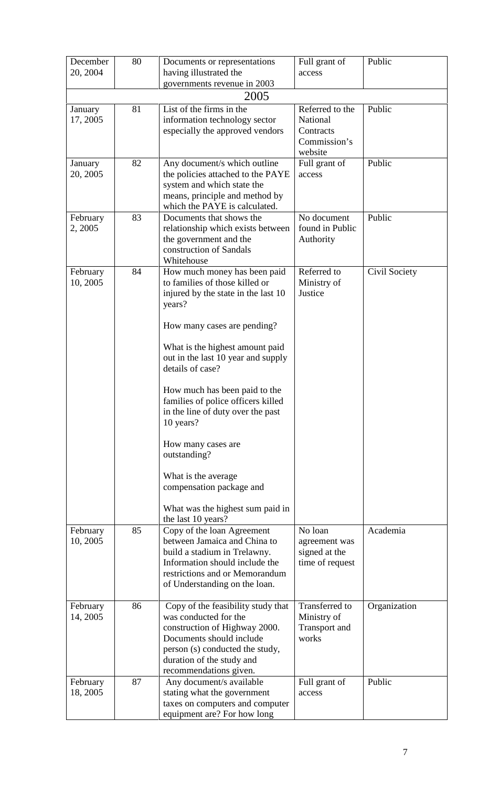| December<br>20, 2004 | 80 | Documents or representations<br>having illustrated the<br>governments revenue in 2003                                                                                                                              | Full grant of<br>access                                             | Public        |
|----------------------|----|--------------------------------------------------------------------------------------------------------------------------------------------------------------------------------------------------------------------|---------------------------------------------------------------------|---------------|
|                      |    | 2005                                                                                                                                                                                                               |                                                                     |               |
| January<br>17, 2005  | 81 | List of the firms in the<br>information technology sector<br>especially the approved vendors                                                                                                                       | Referred to the<br>National<br>Contracts<br>Commission's<br>website | Public        |
| January<br>20, 2005  | 82 | Any document/s which outline<br>the policies attached to the PAYE<br>system and which state the<br>means, principle and method by<br>which the PAYE is calculated.                                                 | Full grant of<br>access                                             | Public        |
| February<br>2, 2005  | 83 | Documents that shows the<br>relationship which exists between<br>the government and the<br>construction of Sandals<br>Whitehouse                                                                                   | No document<br>found in Public<br>Authority                         | Public        |
| February<br>10, 2005 | 84 | How much money has been paid<br>to families of those killed or<br>injured by the state in the last 10<br>years?                                                                                                    | Referred to<br>Ministry of<br>Justice                               | Civil Society |
|                      |    | How many cases are pending?                                                                                                                                                                                        |                                                                     |               |
|                      |    | What is the highest amount paid<br>out in the last 10 year and supply<br>details of case?                                                                                                                          |                                                                     |               |
|                      |    | How much has been paid to the<br>families of police officers killed<br>in the line of duty over the past<br>10 years?                                                                                              |                                                                     |               |
|                      |    | How many cases are<br>outstanding?                                                                                                                                                                                 |                                                                     |               |
|                      |    | What is the average.<br>compensation package and                                                                                                                                                                   |                                                                     |               |
|                      |    | What was the highest sum paid in<br>the last 10 years?                                                                                                                                                             |                                                                     |               |
| February<br>10, 2005 | 85 | Copy of the loan Agreement<br>between Jamaica and China to<br>build a stadium in Trelawny.<br>Information should include the<br>restrictions and or Memorandum<br>of Understanding on the loan.                    | No loan<br>agreement was<br>signed at the<br>time of request        | Academia      |
| February<br>14, 2005 | 86 | Copy of the feasibility study that<br>was conducted for the<br>construction of Highway 2000.<br>Documents should include<br>person (s) conducted the study,<br>duration of the study and<br>recommendations given. | Transferred to<br>Ministry of<br><b>Transport</b> and<br>works      | Organization  |
| February<br>18, 2005 | 87 | Any document/s available<br>stating what the government<br>taxes on computers and computer<br>equipment are? For how long                                                                                          | Full grant of<br>access                                             | Public        |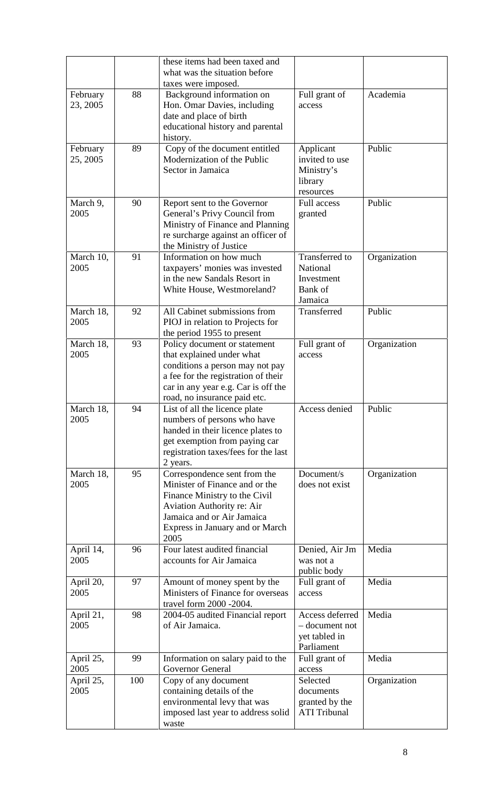|                      |     | these items had been taxed and<br>what was the situation before                                                                                                                                            |                                                                   |              |
|----------------------|-----|------------------------------------------------------------------------------------------------------------------------------------------------------------------------------------------------------------|-------------------------------------------------------------------|--------------|
| February<br>23, 2005 | 88  | taxes were imposed.<br>Background information on<br>Hon. Omar Davies, including<br>date and place of birth<br>educational history and parental<br>history.                                                 | Full grant of<br>access                                           | Academia     |
| February<br>25, 2005 | 89  | Copy of the document entitled<br>Modernization of the Public<br>Sector in Jamaica                                                                                                                          | Applicant<br>invited to use<br>Ministry's<br>library<br>resources | Public       |
| March 9,<br>2005     | 90  | Report sent to the Governor<br>General's Privy Council from<br>Ministry of Finance and Planning<br>re surcharge against an officer of<br>the Ministry of Justice                                           | <b>Full access</b><br>granted                                     | Public       |
| March 10,<br>2005    | 91  | Information on how much<br>taxpayers' monies was invested<br>in the new Sandals Resort in<br>White House, Westmoreland?                                                                                    | Transferred to<br>National<br>Investment<br>Bank of<br>Jamaica    | Organization |
| March 18,<br>2005    | 92  | All Cabinet submissions from<br>PIOJ in relation to Projects for<br>the period 1955 to present                                                                                                             | Transferred                                                       | Public       |
| March 18,<br>2005    | 93  | Policy document or statement<br>that explained under what<br>conditions a person may not pay<br>a fee for the registration of their<br>car in any year e.g. Car is off the<br>road, no insurance paid etc. | Full grant of<br>access                                           | Organization |
| March 18,<br>2005    | 94  | List of all the licence plate<br>numbers of persons who have<br>handed in their licence plates to<br>get exemption from paying car<br>registration taxes/fees for the last<br>2 years.                     | Access denied                                                     | Public       |
| March 18,<br>2005    | 95  | Correspondence sent from the<br>Minister of Finance and or the<br>Finance Ministry to the Civil<br>Aviation Authority re: Air<br>Jamaica and or Air Jamaica<br>Express in January and or March<br>2005     | Document/s<br>does not exist                                      | Organization |
| April 14,<br>2005    | 96  | Four latest audited financial<br>accounts for Air Jamaica                                                                                                                                                  | Denied, Air Jm<br>was not a<br>public body                        | Media        |
| April 20,<br>2005    | 97  | Amount of money spent by the<br>Ministers of Finance for overseas<br>travel form 2000 -2004.                                                                                                               | Full grant of<br>access                                           | Media        |
| April 21,<br>2005    | 98  | 2004-05 audited Financial report<br>of Air Jamaica.                                                                                                                                                        | Access deferred<br>- document not<br>yet tabled in<br>Parliament  | Media        |
| April 25,<br>2005    | 99  | Information on salary paid to the<br>Governor General                                                                                                                                                      | Full grant of<br>access                                           | Media        |
| April 25,<br>2005    | 100 | Copy of any document<br>containing details of the<br>environmental levy that was<br>imposed last year to address solid<br>waste                                                                            | Selected<br>documents<br>granted by the<br><b>ATI Tribunal</b>    | Organization |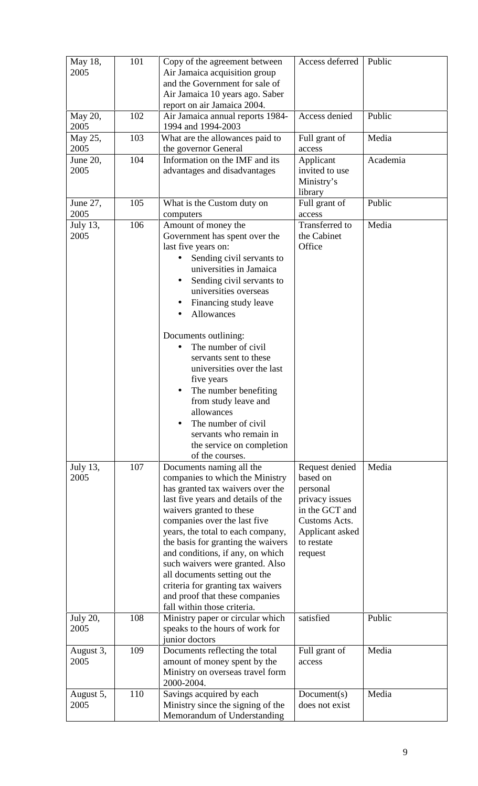| May 18,<br>2005         | 101 | Copy of the agreement between<br>Air Jamaica acquisition group<br>and the Government for sale of<br>Air Jamaica 10 years ago. Saber<br>report on air Jamaica 2004.                                                                                                                                                                                                                                                                                                                         | Access deferred                                                                                                                         | Public   |
|-------------------------|-----|--------------------------------------------------------------------------------------------------------------------------------------------------------------------------------------------------------------------------------------------------------------------------------------------------------------------------------------------------------------------------------------------------------------------------------------------------------------------------------------------|-----------------------------------------------------------------------------------------------------------------------------------------|----------|
| May 20,<br>2005         | 102 | Air Jamaica annual reports 1984-<br>1994 and 1994-2003                                                                                                                                                                                                                                                                                                                                                                                                                                     | Access denied                                                                                                                           | Public   |
| May 25,<br>2005         | 103 | What are the allowances paid to<br>the governor General                                                                                                                                                                                                                                                                                                                                                                                                                                    | Full grant of<br>access                                                                                                                 | Media    |
| June 20,<br>2005        | 104 | Information on the IMF and its<br>advantages and disadvantages                                                                                                                                                                                                                                                                                                                                                                                                                             | Applicant<br>invited to use<br>Ministry's<br>library                                                                                    | Academia |
| June 27,<br>2005        | 105 | What is the Custom duty on<br>computers                                                                                                                                                                                                                                                                                                                                                                                                                                                    | Full grant of<br>access                                                                                                                 | Public   |
| July 13,<br>2005        | 106 | Amount of money the<br>Government has spent over the<br>last five years on:<br>Sending civil servants to<br>universities in Jamaica<br>Sending civil servants to<br>٠<br>universities overseas<br>Financing study leave<br><b>Allowances</b>                                                                                                                                                                                                                                               | <b>Transferred</b> to<br>the Cabinet<br>Office                                                                                          | Media    |
|                         |     | Documents outlining:<br>The number of civil<br>servants sent to these<br>universities over the last<br>five years<br>The number benefiting<br>from study leave and<br>allowances<br>The number of civil<br>servants who remain in<br>the service on completion<br>of the courses.                                                                                                                                                                                                          |                                                                                                                                         |          |
| July 13,<br>2005        | 107 | Documents naming all the<br>companies to which the Ministry<br>has granted tax waivers over the<br>last five years and details of the<br>waivers granted to these<br>companies over the last five<br>years, the total to each company,<br>the basis for granting the waivers<br>and conditions, if any, on which<br>such waivers were granted. Also<br>all documents setting out the<br>criteria for granting tax waivers<br>and proof that these companies<br>fall within those criteria. | Request denied<br>based on<br>personal<br>privacy issues<br>in the GCT and<br>Customs Acts.<br>Applicant asked<br>to restate<br>request | Media    |
| <b>July 20,</b><br>2005 | 108 | Ministry paper or circular which<br>speaks to the hours of work for<br>junior doctors                                                                                                                                                                                                                                                                                                                                                                                                      | satisfied                                                                                                                               | Public   |
| August 3,<br>2005       | 109 | Documents reflecting the total<br>amount of money spent by the<br>Ministry on overseas travel form<br>2000-2004.                                                                                                                                                                                                                                                                                                                                                                           | Full grant of<br>access                                                                                                                 | Media    |
| August 5,<br>2005       | 110 | Savings acquired by each<br>Ministry since the signing of the<br>Memorandum of Understanding                                                                                                                                                                                                                                                                                                                                                                                               | Document(s)<br>does not exist                                                                                                           | Media    |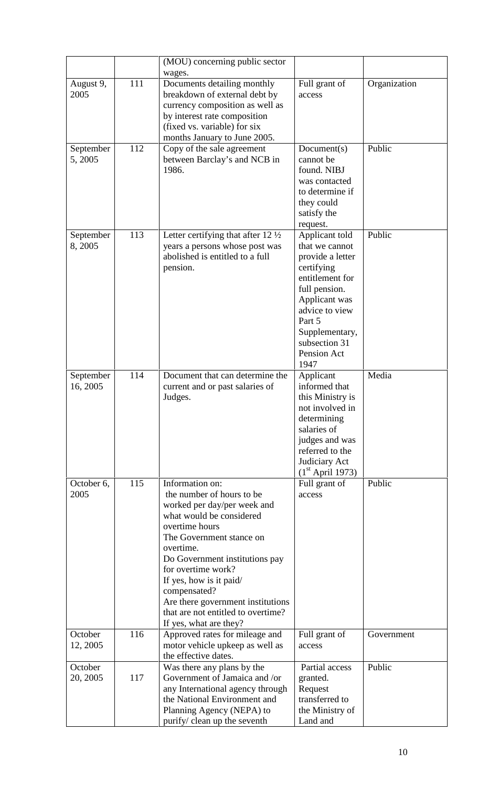|                       |     | (MOU) concerning public sector                                                                                                                                                                                                                                                                                                                                             |                                                                                                                                                                                                               |              |
|-----------------------|-----|----------------------------------------------------------------------------------------------------------------------------------------------------------------------------------------------------------------------------------------------------------------------------------------------------------------------------------------------------------------------------|---------------------------------------------------------------------------------------------------------------------------------------------------------------------------------------------------------------|--------------|
|                       |     | wages.                                                                                                                                                                                                                                                                                                                                                                     |                                                                                                                                                                                                               |              |
| August 9,<br>2005     | 111 | Documents detailing monthly<br>breakdown of external debt by<br>currency composition as well as<br>by interest rate composition<br>(fixed vs. variable) for six<br>months January to June 2005.                                                                                                                                                                            | Full grant of<br>access                                                                                                                                                                                       | Organization |
| September<br>5, 2005  | 112 | Copy of the sale agreement<br>between Barclay's and NCB in<br>1986.                                                                                                                                                                                                                                                                                                        | Document(s)<br>cannot be<br>found. NIBJ<br>was contacted<br>to determine if<br>they could<br>satisfy the<br>request.                                                                                          | Public       |
| September<br>8, 2005  | 113 | Letter certifying that after 12 $\frac{1}{2}$<br>years a persons whose post was<br>abolished is entitled to a full<br>pension.                                                                                                                                                                                                                                             | Applicant told<br>that we cannot<br>provide a letter<br>certifying<br>entitlement for<br>full pension.<br>Applicant was<br>advice to view<br>Part 5<br>Supplementary,<br>subsection 31<br>Pension Act<br>1947 | Public       |
| September<br>16, 2005 | 114 | Document that can determine the<br>current and or past salaries of<br>Judges.                                                                                                                                                                                                                                                                                              | Applicant<br>informed that<br>this Ministry is<br>not involved in<br>determining<br>salaries of<br>judges and was<br>referred to the<br>Judiciary Act                                                         | Media        |
| October 6,<br>2005    | 115 | Information on:<br>the number of hours to be<br>worked per day/per week and<br>what would be considered<br>overtime hours<br>The Government stance on<br>overtime.<br>Do Government institutions pay<br>for overtime work?<br>If yes, how is it paid/<br>compensated?<br>Are there government institutions<br>that are not entitled to overtime?<br>If yes, what are they? | $(1st$ April 1973)<br>Full grant of<br>access                                                                                                                                                                 | Public       |
| October<br>12, 2005   | 116 | Approved rates for mileage and<br>motor vehicle upkeep as well as<br>the effective dates.                                                                                                                                                                                                                                                                                  | Full grant of<br>access                                                                                                                                                                                       | Government   |
| October<br>20, 2005   | 117 | Was there any plans by the<br>Government of Jamaica and /or<br>any International agency through<br>the National Environment and<br>Planning Agency (NEPA) to<br>purify/ clean up the seventh                                                                                                                                                                               | Partial access<br>granted.<br>Request<br>transferred to<br>the Ministry of<br>Land and                                                                                                                        | Public       |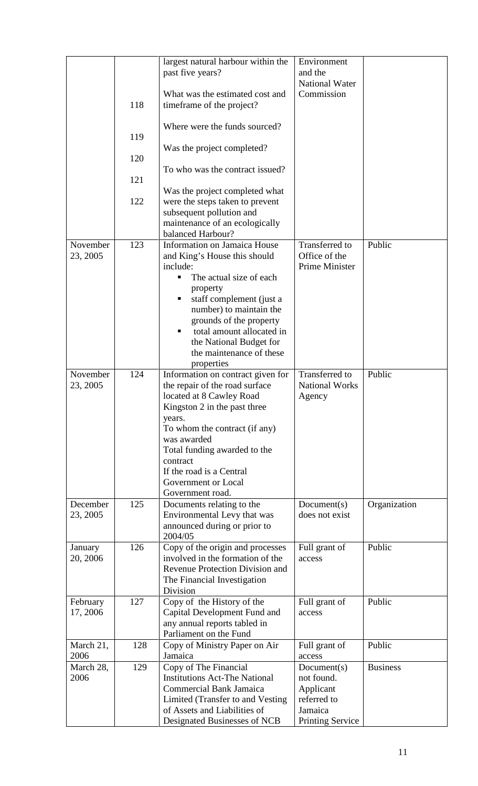|           |     | largest natural harbour within the           | Environment             |                 |
|-----------|-----|----------------------------------------------|-------------------------|-----------------|
|           |     | past five years?                             | and the                 |                 |
|           |     |                                              | <b>National Water</b>   |                 |
|           |     | What was the estimated cost and              | Commission              |                 |
|           | 118 | timeframe of the project?                    |                         |                 |
|           |     |                                              |                         |                 |
|           |     | Where were the funds sourced?                |                         |                 |
|           | 119 |                                              |                         |                 |
|           |     | Was the project completed?                   |                         |                 |
|           | 120 |                                              |                         |                 |
|           |     | To who was the contract issued?              |                         |                 |
|           | 121 |                                              |                         |                 |
|           |     | Was the project completed what               |                         |                 |
|           | 122 | were the steps taken to prevent              |                         |                 |
|           |     | subsequent pollution and                     |                         |                 |
|           |     | maintenance of an ecologically               |                         |                 |
|           |     | balanced Harbour?                            |                         |                 |
| November  | 123 | Information on Jamaica House                 | Transferred to          | Public          |
| 23, 2005  |     | and King's House this should                 | Office of the           |                 |
|           |     | include:                                     | Prime Minister          |                 |
|           |     | The actual size of each<br>٠                 |                         |                 |
|           |     | property                                     |                         |                 |
|           |     | staff complement (just a                     |                         |                 |
|           |     | number) to maintain the                      |                         |                 |
|           |     | grounds of the property                      |                         |                 |
|           |     | total amount allocated in                    |                         |                 |
|           |     | the National Budget for                      |                         |                 |
|           |     | the maintenance of these                     |                         |                 |
|           |     | properties                                   |                         |                 |
| November  | 124 | Information on contract given for            | Transferred to          | Public          |
| 23, 2005  |     | the repair of the road surface               | <b>National Works</b>   |                 |
|           |     | located at 8 Cawley Road                     | Agency                  |                 |
|           |     | Kingston 2 in the past three                 |                         |                 |
|           |     | years.                                       |                         |                 |
|           |     | To whom the contract (if any)<br>was awarded |                         |                 |
|           |     | Total funding awarded to the                 |                         |                 |
|           |     | contract                                     |                         |                 |
|           |     | If the road is a Central                     |                         |                 |
|           |     | Government or Local                          |                         |                 |
|           |     | Government road.                             |                         |                 |
| December  | 125 | Documents relating to the                    | Document(s)             | Organization    |
| 23, 2005  |     | Environmental Levy that was                  | does not exist          |                 |
|           |     | announced during or prior to                 |                         |                 |
|           |     | 2004/05                                      |                         |                 |
| January   | 126 | Copy of the origin and processes             | Full grant of           | Public          |
| 20, 2006  |     | involved in the formation of the             | access                  |                 |
|           |     | <b>Revenue Protection Division and</b>       |                         |                 |
|           |     | The Financial Investigation                  |                         |                 |
|           |     | Division                                     |                         |                 |
| February  | 127 | Copy of the History of the                   | Full grant of           | Public          |
| 17, 2006  |     | Capital Development Fund and                 | access                  |                 |
|           |     | any annual reports tabled in                 |                         |                 |
|           |     | Parliament on the Fund                       |                         |                 |
| March 21, | 128 | Copy of Ministry Paper on Air                | Full grant of           | Public          |
| 2006      |     | Jamaica                                      | access                  |                 |
| March 28, | 129 | Copy of The Financial                        | Document(s)             | <b>Business</b> |
| 2006      |     | <b>Institutions Act-The National</b>         | not found.              |                 |
|           |     | <b>Commercial Bank Jamaica</b>               | Applicant               |                 |
|           |     | Limited (Transfer to and Vesting)            | referred to             |                 |
|           |     | of Assets and Liabilities of                 | Jamaica                 |                 |
|           |     | Designated Businesses of NCB                 | <b>Printing Service</b> |                 |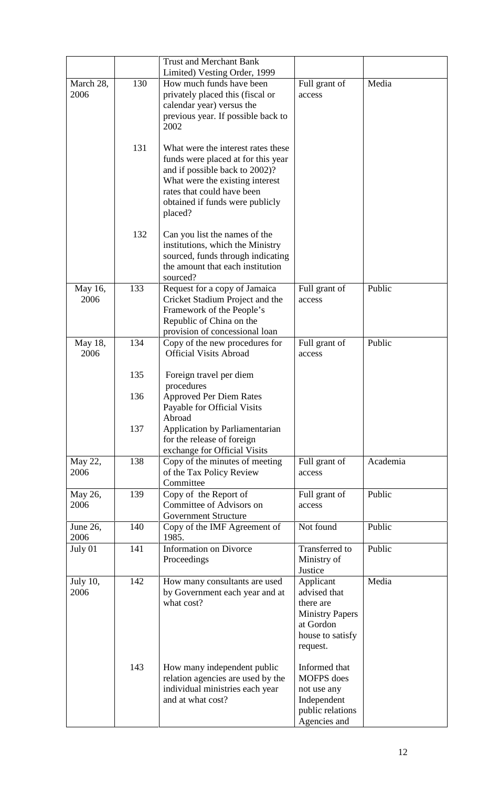| March 28,<br>2006       | 130 | <b>Trust and Merchant Bank</b><br>Limited) Vesting Order, 1999<br>How much funds have been<br>privately placed this (fiscal or<br>calendar year) versus the<br>previous year. If possible back to<br>2002                 | Full grant of<br>access                                                                                       | Media    |
|-------------------------|-----|---------------------------------------------------------------------------------------------------------------------------------------------------------------------------------------------------------------------------|---------------------------------------------------------------------------------------------------------------|----------|
|                         | 131 | What were the interest rates these<br>funds were placed at for this year<br>and if possible back to 2002)?<br>What were the existing interest<br>rates that could have been<br>obtained if funds were publicly<br>placed? |                                                                                                               |          |
|                         | 132 | Can you list the names of the<br>institutions, which the Ministry<br>sourced, funds through indicating<br>the amount that each institution<br>sourced?                                                                    |                                                                                                               |          |
| May 16,<br>2006         | 133 | Request for a copy of Jamaica<br>Cricket Stadium Project and the<br>Framework of the People's<br>Republic of China on the<br>provision of concessional loan                                                               | Full grant of<br>access                                                                                       | Public   |
| May 18,<br>2006         | 134 | Copy of the new procedures for<br><b>Official Visits Abroad</b>                                                                                                                                                           | Full grant of<br>access                                                                                       | Public   |
|                         | 135 | Foreign travel per diem<br>procedures                                                                                                                                                                                     |                                                                                                               |          |
|                         | 136 | <b>Approved Per Diem Rates</b><br>Payable for Official Visits<br>Abroad                                                                                                                                                   |                                                                                                               |          |
|                         | 137 | Application by Parliamentarian<br>for the release of foreign<br>exchange for Official Visits                                                                                                                              |                                                                                                               |          |
| May 22,<br>2006         | 138 | Copy of the minutes of meeting<br>of the Tax Policy Review<br>Committee                                                                                                                                                   | Full grant of<br>access                                                                                       | Academia |
| May 26,<br>2006         | 139 | Copy of the Report of<br>Committee of Advisors on<br><b>Government Structure</b>                                                                                                                                          | Full grant of<br>access                                                                                       | Public   |
| June 26,<br>2006        | 140 | Copy of the IMF Agreement of<br>1985.                                                                                                                                                                                     | Not found                                                                                                     | Public   |
| July 01                 | 141 | <b>Information on Divorce</b><br>Proceedings                                                                                                                                                                              | Transferred to<br>Ministry of<br>Justice                                                                      | Public   |
| <b>July 10,</b><br>2006 | 142 | How many consultants are used<br>by Government each year and at<br>what cost?                                                                                                                                             | Applicant<br>advised that<br>there are<br><b>Ministry Papers</b><br>at Gordon<br>house to satisfy<br>request. | Media    |
|                         | 143 | How many independent public<br>relation agencies are used by the<br>individual ministries each year<br>and at what cost?                                                                                                  | Informed that<br><b>MOFPS</b> does<br>not use any<br>Independent<br>public relations<br>Agencies and          |          |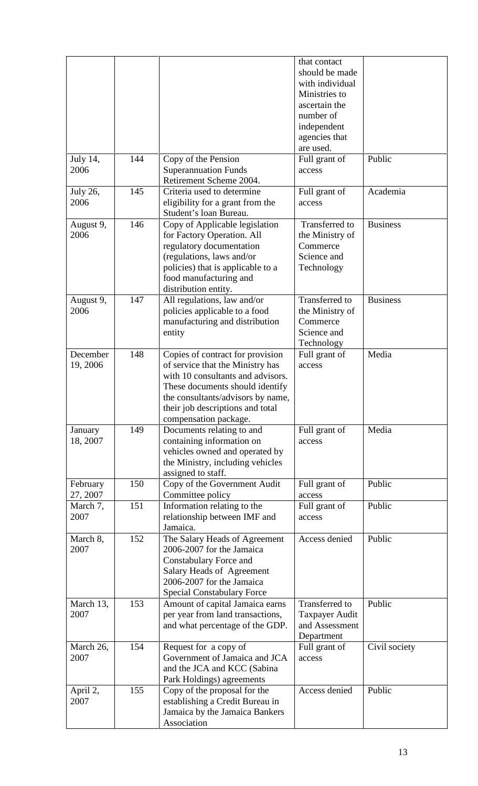|                         |     |                                                                                                                                                                                                                                                | that contact<br>should be made<br>with individual<br>Ministries to<br>ascertain the<br>number of<br>independent<br>agencies that<br>are used. |                 |
|-------------------------|-----|------------------------------------------------------------------------------------------------------------------------------------------------------------------------------------------------------------------------------------------------|-----------------------------------------------------------------------------------------------------------------------------------------------|-----------------|
| July 14,<br>2006        | 144 | Copy of the Pension<br><b>Superannuation Funds</b>                                                                                                                                                                                             | Full grant of<br>access                                                                                                                       | Public          |
|                         | 145 | Retirement Scheme 2004.<br>Criteria used to determine                                                                                                                                                                                          |                                                                                                                                               | Academia        |
| <b>July 26,</b><br>2006 |     | eligibility for a grant from the<br>Student's loan Bureau.                                                                                                                                                                                     | Full grant of<br>access                                                                                                                       |                 |
| August 9,<br>2006       | 146 | Copy of Applicable legislation<br>for Factory Operation. All<br>regulatory documentation<br>(regulations, laws and/or<br>policies) that is applicable to a<br>food manufacturing and<br>distribution entity.                                   | Transferred to<br>the Ministry of<br>Commerce<br>Science and<br>Technology                                                                    | <b>Business</b> |
| August 9,<br>2006       | 147 | All regulations, law and/or<br>policies applicable to a food<br>manufacturing and distribution<br>entity                                                                                                                                       | Transferred to<br>the Ministry of<br>Commerce<br>Science and<br>Technology                                                                    | <b>Business</b> |
| December<br>19, 2006    | 148 | Copies of contract for provision<br>of service that the Ministry has<br>with 10 consultants and advisors.<br>These documents should identify<br>the consultants/advisors by name,<br>their job descriptions and total<br>compensation package. | Full grant of<br>access                                                                                                                       | Media           |
| January<br>18, 2007     | 149 | Documents relating to and<br>containing information on<br>vehicles owned and operated by<br>the Ministry, including vehicles<br>assigned to staff.                                                                                             | Full grant of<br>access                                                                                                                       | Media           |
| February<br>27, 2007    | 150 | Copy of the Government Audit<br>Committee policy                                                                                                                                                                                               | Full grant of<br>access                                                                                                                       | Public          |
| March 7,<br>2007        | 151 | Information relating to the<br>relationship between IMF and<br>Jamaica.                                                                                                                                                                        | Full grant of<br>access                                                                                                                       | Public          |
| March 8,<br>2007        | 152 | The Salary Heads of Agreement<br>2006-2007 for the Jamaica<br>Constabulary Force and<br>Salary Heads of Agreement<br>2006-2007 for the Jamaica<br><b>Special Constabulary Force</b>                                                            | Access denied                                                                                                                                 | Public          |
| March 13,<br>2007       | 153 | Amount of capital Jamaica earns<br>per year from land transactions,<br>and what percentage of the GDP.                                                                                                                                         | Transferred to<br><b>Taxpayer Audit</b><br>and Assessment<br>Department                                                                       | Public          |
| March 26,<br>2007       | 154 | Request for a copy of<br>Government of Jamaica and JCA<br>and the JCA and KCC (Sabina<br>Park Holdings) agreements                                                                                                                             | Full grant of<br>access                                                                                                                       | Civil society   |
| April 2,<br>2007        | 155 | Copy of the proposal for the<br>establishing a Credit Bureau in<br>Jamaica by the Jamaica Bankers<br>Association                                                                                                                               | Access denied                                                                                                                                 | Public          |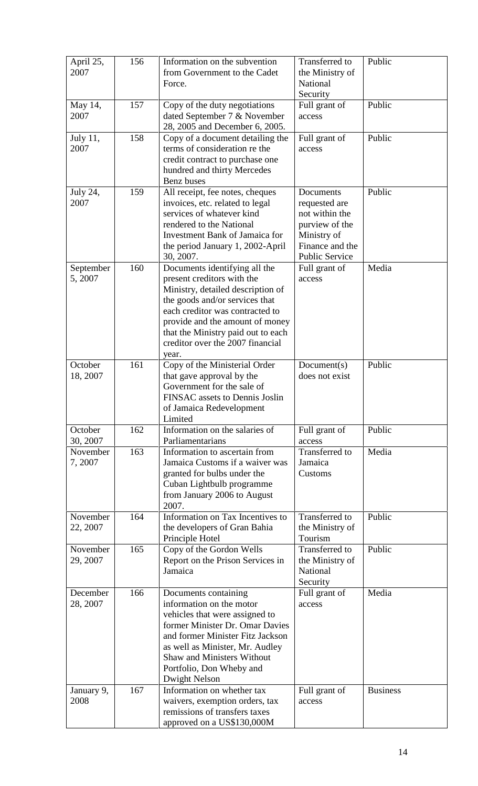| April 25,<br>2007    | 156 | Information on the subvention<br>from Government to the Cadet<br>Force.                                                                                                                                                                                                                     | <b>Transferred</b> to<br>the Ministry of<br>National<br>Security                                                   | Public          |
|----------------------|-----|---------------------------------------------------------------------------------------------------------------------------------------------------------------------------------------------------------------------------------------------------------------------------------------------|--------------------------------------------------------------------------------------------------------------------|-----------------|
| May 14,<br>2007      | 157 | Copy of the duty negotiations<br>dated September 7 & November<br>28, 2005 and December 6, 2005.                                                                                                                                                                                             | Full grant of<br>access                                                                                            | Public          |
| July 11,<br>2007     | 158 | Copy of a document detailing the<br>terms of consideration re the<br>credit contract to purchase one<br>hundred and thirty Mercedes<br><b>Benz</b> buses                                                                                                                                    | Full grant of<br>access                                                                                            | Public          |
| July 24,<br>2007     | 159 | All receipt, fee notes, cheques<br>invoices, etc. related to legal<br>services of whatever kind<br>rendered to the National<br><b>Investment Bank of Jamaica for</b><br>the period January 1, 2002-April<br>30, 2007.                                                                       | Documents<br>requested are<br>not within the<br>purview of the<br>Ministry of<br>Finance and the<br>Public Service | Public          |
| September<br>5, 2007 | 160 | Documents identifying all the<br>present creditors with the<br>Ministry, detailed description of<br>the goods and/or services that<br>each creditor was contracted to<br>provide and the amount of money<br>that the Ministry paid out to each<br>creditor over the 2007 financial<br>year. | Full grant of<br>access                                                                                            | Media           |
| October<br>18, 2007  | 161 | Copy of the Ministerial Order<br>that gave approval by the<br>Government for the sale of<br>FINSAC assets to Dennis Joslin<br>of Jamaica Redevelopment<br>Limited                                                                                                                           | Document(s)<br>does not exist                                                                                      | Public          |
| October<br>30, 2007  | 162 | Information on the salaries of<br>Parliamentarians                                                                                                                                                                                                                                          | Full grant of<br>access                                                                                            | Public          |
| November<br>7,2007   | 163 | Information to ascertain from<br>Jamaica Customs if a waiver was<br>granted for bulbs under the<br>Cuban Lightbulb programme<br>from January 2006 to August<br>2007.                                                                                                                        | Transferred to<br>Jamaica<br>Customs                                                                               | Media           |
| November<br>22, 2007 | 164 | Information on Tax Incentives to<br>the developers of Gran Bahia<br>Principle Hotel                                                                                                                                                                                                         | Transferred to<br>the Ministry of<br>Tourism                                                                       | Public          |
| November<br>29, 2007 | 165 | Copy of the Gordon Wells<br>Report on the Prison Services in<br>Jamaica                                                                                                                                                                                                                     | Transferred to<br>the Ministry of<br>National<br>Security                                                          | Public          |
| December<br>28, 2007 | 166 | Documents containing<br>information on the motor<br>vehicles that were assigned to<br>former Minister Dr. Omar Davies<br>and former Minister Fitz Jackson<br>as well as Minister, Mr. Audley<br><b>Shaw and Ministers Without</b><br>Portfolio, Don Wheby and<br><b>Dwight Nelson</b>       | Full grant of<br>access                                                                                            | Media           |
| January 9,<br>2008   | 167 | Information on whether tax<br>waivers, exemption orders, tax<br>remissions of transfers taxes<br>approved on a US\$130,000M                                                                                                                                                                 | Full grant of<br>access                                                                                            | <b>Business</b> |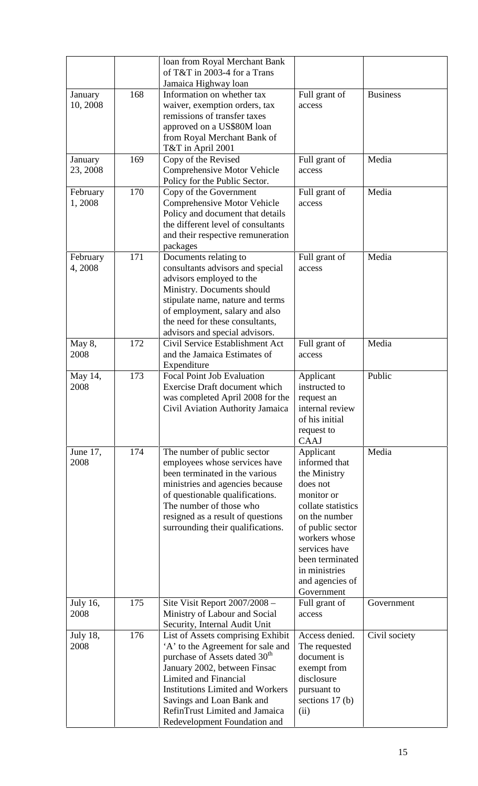|                 |     | loan from Royal Merchant Bank             |                    |                 |
|-----------------|-----|-------------------------------------------|--------------------|-----------------|
|                 |     | of T&T in 2003-4 for a Trans              |                    |                 |
|                 |     | Jamaica Highway loan                      |                    |                 |
| January         | 168 | Information on whether tax                | Full grant of      | <b>Business</b> |
| 10, 2008        |     | waiver, exemption orders, tax             | access             |                 |
|                 |     | remissions of transfer taxes              |                    |                 |
|                 |     | approved on a US\$80M loan                |                    |                 |
|                 |     | from Royal Merchant Bank of               |                    |                 |
|                 |     | T&T in April 2001                         |                    |                 |
|                 |     |                                           |                    |                 |
| January         | 169 | Copy of the Revised                       | Full grant of      | Media           |
| 23, 2008        |     | Comprehensive Motor Vehicle               | access             |                 |
|                 |     | Policy for the Public Sector.             |                    |                 |
| February        | 170 | Copy of the Government                    | Full grant of      | Media           |
| 1,2008          |     | Comprehensive Motor Vehicle               | access             |                 |
|                 |     | Policy and document that details          |                    |                 |
|                 |     | the different level of consultants        |                    |                 |
|                 |     | and their respective remuneration         |                    |                 |
|                 |     | packages                                  |                    |                 |
| February        | 171 | Documents relating to                     | Full grant of      | Media           |
| 4,2008          |     | consultants advisors and special          | access             |                 |
|                 |     | advisors employed to the                  |                    |                 |
|                 |     |                                           |                    |                 |
|                 |     | Ministry. Documents should                |                    |                 |
|                 |     | stipulate name, nature and terms          |                    |                 |
|                 |     | of employment, salary and also            |                    |                 |
|                 |     | the need for these consultants,           |                    |                 |
|                 |     | advisors and special advisors.            |                    |                 |
| May 8,          | 172 | Civil Service Establishment Act           | Full grant of      | Media           |
| 2008            |     | and the Jamaica Estimates of              | access             |                 |
|                 |     | Expenditure                               |                    |                 |
| May 14,         | 173 | <b>Focal Point Job Evaluation</b>         | Applicant          | Public          |
| 2008            |     | <b>Exercise Draft document which</b>      | instructed to      |                 |
|                 |     | was completed April 2008 for the          | request an         |                 |
|                 |     | Civil Aviation Authority Jamaica          | internal review    |                 |
|                 |     |                                           | of his initial     |                 |
|                 |     |                                           |                    |                 |
|                 |     |                                           | request to         |                 |
|                 |     |                                           | CAAJ               |                 |
| June 17,        | 174 | The number of public sector               | Applicant          | Media           |
| 2008            |     | employees whose services have             | informed that      |                 |
|                 |     | been terminated in the various            | the Ministry       |                 |
|                 |     | ministries and agencies because           | does not           |                 |
|                 |     | of questionable qualifications.           | monitor or         |                 |
|                 |     | The number of those who                   | collate statistics |                 |
|                 |     | resigned as a result of questions         | on the number      |                 |
|                 |     | surrounding their qualifications.         | of public sector   |                 |
|                 |     |                                           | workers whose      |                 |
|                 |     |                                           | services have      |                 |
|                 |     |                                           | been terminated    |                 |
|                 |     |                                           | in ministries      |                 |
|                 |     |                                           | and agencies of    |                 |
|                 |     |                                           | Government         |                 |
|                 |     |                                           |                    |                 |
| <b>July 16,</b> | 175 | Site Visit Report 2007/2008 -             | Full grant of      | Government      |
| 2008            |     | Ministry of Labour and Social             | access             |                 |
|                 |     | Security, Internal Audit Unit             |                    |                 |
| <b>July 18,</b> | 176 | List of Assets comprising Exhibit         | Access denied.     | Civil society   |
| 2008            |     | 'A' to the Agreement for sale and         | The requested      |                 |
|                 |     | purchase of Assets dated 30 <sup>th</sup> | document is        |                 |
|                 |     | January 2002, between Finsac              | exempt from        |                 |
|                 |     | Limited and Financial                     | disclosure         |                 |
|                 |     | <b>Institutions Limited and Workers</b>   | pursuant to        |                 |
|                 |     | Savings and Loan Bank and                 | sections 17 (b)    |                 |
|                 |     | RefinTrust Limited and Jamaica            | (ii)               |                 |
|                 |     |                                           |                    |                 |
|                 |     | Redevelopment Foundation and              |                    |                 |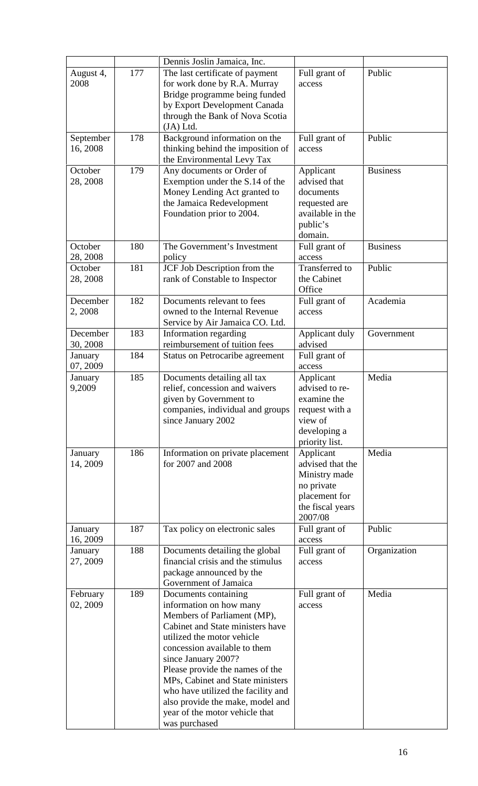|                       |     | Dennis Joslin Jamaica, Inc.                                                                                                                                                                                                                                                                                                                                                                                 |                                                                                                              |                 |
|-----------------------|-----|-------------------------------------------------------------------------------------------------------------------------------------------------------------------------------------------------------------------------------------------------------------------------------------------------------------------------------------------------------------------------------------------------------------|--------------------------------------------------------------------------------------------------------------|-----------------|
| August 4,<br>2008     | 177 | The last certificate of payment<br>for work done by R.A. Murray<br>Bridge programme being funded<br>by Export Development Canada                                                                                                                                                                                                                                                                            | Full grant of<br>access                                                                                      | Public          |
|                       |     | through the Bank of Nova Scotia                                                                                                                                                                                                                                                                                                                                                                             |                                                                                                              |                 |
| September<br>16, 2008 | 178 | $(JA)$ Ltd.<br>Background information on the<br>thinking behind the imposition of<br>the Environmental Levy Tax                                                                                                                                                                                                                                                                                             | Full grant of<br>access                                                                                      | Public          |
| October<br>28, 2008   | 179 | Any documents or Order of<br>Exemption under the S.14 of the<br>Money Lending Act granted to<br>the Jamaica Redevelopment<br>Foundation prior to 2004.                                                                                                                                                                                                                                                      | Applicant<br>advised that<br>documents<br>requested are<br>available in the<br>public's<br>domain.           | <b>Business</b> |
| October<br>28, 2008   | 180 | The Government's Investment<br>policy                                                                                                                                                                                                                                                                                                                                                                       | Full grant of<br>access                                                                                      | <b>Business</b> |
| October<br>28, 2008   | 181 | JCF Job Description from the<br>rank of Constable to Inspector                                                                                                                                                                                                                                                                                                                                              | Transferred to<br>the Cabinet<br>Office                                                                      | Public          |
| December<br>2, 2008   | 182 | Documents relevant to fees<br>owned to the Internal Revenue<br>Service by Air Jamaica CO. Ltd.                                                                                                                                                                                                                                                                                                              | Full grant of<br>access                                                                                      | Academia        |
| December<br>30, 2008  | 183 | Information regarding<br>reimbursement of tuition fees                                                                                                                                                                                                                                                                                                                                                      | Applicant duly<br>advised                                                                                    | Government      |
| January<br>07, 2009   | 184 | Status on Petrocaribe agreement                                                                                                                                                                                                                                                                                                                                                                             | Full grant of<br>access                                                                                      |                 |
| January<br>9,2009     | 185 | Documents detailing all tax<br>relief, concession and waivers<br>given by Government to<br>companies, individual and groups<br>since January 2002                                                                                                                                                                                                                                                           | Applicant<br>advised to re-<br>examine the<br>request with a<br>view of<br>developing a<br>priority list.    | Media           |
| January<br>14, 2009   | 186 | Information on private placement<br>for 2007 and 2008                                                                                                                                                                                                                                                                                                                                                       | Applicant<br>advised that the<br>Ministry made<br>no private<br>placement for<br>the fiscal years<br>2007/08 | Media           |
| January<br>16, 2009   | 187 | Tax policy on electronic sales                                                                                                                                                                                                                                                                                                                                                                              | Full grant of<br>access                                                                                      | Public          |
| January<br>27, 2009   | 188 | Documents detailing the global<br>financial crisis and the stimulus<br>package announced by the<br>Government of Jamaica                                                                                                                                                                                                                                                                                    | Full grant of<br>access                                                                                      | Organization    |
| February<br>02, 2009  | 189 | Documents containing<br>information on how many<br>Members of Parliament (MP),<br>Cabinet and State ministers have<br>utilized the motor vehicle<br>concession available to them<br>since January 2007?<br>Please provide the names of the<br>MPs, Cabinet and State ministers<br>who have utilized the facility and<br>also provide the make, model and<br>year of the motor vehicle that<br>was purchased | Full grant of<br>access                                                                                      | Media           |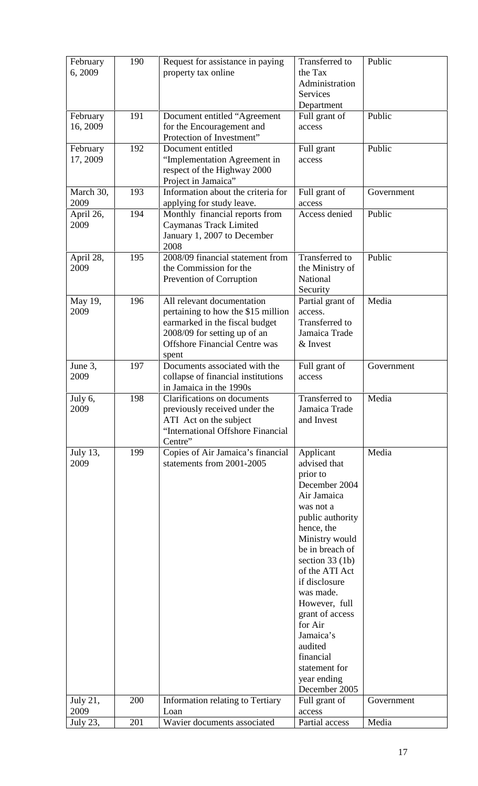| February             | 190 | Request for assistance in paying                                    | Transferred to                      | Public     |
|----------------------|-----|---------------------------------------------------------------------|-------------------------------------|------------|
| 6, 2009              |     | property tax online                                                 | the Tax<br>Administration           |            |
|                      |     |                                                                     | Services                            |            |
|                      |     |                                                                     | Department                          |            |
| February<br>16, 2009 | 191 | Document entitled "Agreement<br>for the Encouragement and           | Full grant of<br>access             | Public     |
|                      |     | Protection of Investment"                                           |                                     |            |
| February             | 192 | Document entitled                                                   | Full grant                          | Public     |
| 17, 2009             |     | "Implementation Agreement in                                        | access                              |            |
|                      |     | respect of the Highway 2000<br>Project in Jamaica"                  |                                     |            |
| March 30,            | 193 | Information about the criteria for                                  | Full grant of                       | Government |
| 2009                 |     | applying for study leave.                                           | access                              |            |
| April 26,            | 194 | Monthly financial reports from                                      | Access denied                       | Public     |
| 2009                 |     | Caymanas Track Limited<br>January 1, 2007 to December               |                                     |            |
|                      |     | 2008                                                                |                                     |            |
| April 28,            | 195 | 2008/09 financial statement from                                    | Transferred to                      | Public     |
| 2009                 |     | the Commission for the<br>Prevention of Corruption                  | the Ministry of<br>National         |            |
|                      |     |                                                                     | Security                            |            |
| May 19,              | 196 | All relevant documentation                                          | Partial grant of                    | Media      |
| 2009                 |     | pertaining to how the \$15 million                                  | access.<br>Transferred to           |            |
|                      |     | earmarked in the fiscal budget<br>2008/09 for setting up of an      | Jamaica Trade                       |            |
|                      |     | <b>Offshore Financial Centre was</b>                                | & Invest                            |            |
|                      |     | spent                                                               |                                     |            |
| June 3,<br>2009      | 197 | Documents associated with the<br>collapse of financial institutions | Full grant of<br>access             | Government |
|                      |     | in Jamaica in the 1990s                                             |                                     |            |
| July 6,              | 198 | Clarifications on documents                                         | Transferred to                      | Media      |
| 2009                 |     | previously received under the<br>ATI Act on the subject             | Jamaica Trade<br>and Invest         |            |
|                      |     | "International Offshore Financial                                   |                                     |            |
|                      |     | Centre"                                                             |                                     |            |
| July 13,             | 199 | Copies of Air Jamaica's financial                                   | Applicant                           | Media      |
| 2009                 |     | statements from 2001-2005                                           | advised that<br>prior to            |            |
|                      |     |                                                                     | December 2004                       |            |
|                      |     |                                                                     | Air Jamaica                         |            |
|                      |     |                                                                     | was not a                           |            |
|                      |     |                                                                     | public authority<br>hence, the      |            |
|                      |     |                                                                     | Ministry would                      |            |
|                      |     |                                                                     | be in breach of                     |            |
|                      |     |                                                                     | section $33$ (1b)<br>of the ATI Act |            |
|                      |     |                                                                     | if disclosure                       |            |
|                      |     |                                                                     | was made.                           |            |
|                      |     |                                                                     | However, full                       |            |
|                      |     |                                                                     | grant of access<br>for Air          |            |
|                      |     |                                                                     | Jamaica's                           |            |
|                      |     |                                                                     | audited                             |            |
|                      |     |                                                                     | financial<br>statement for          |            |
|                      |     |                                                                     | year ending                         |            |
|                      |     |                                                                     | December 2005                       |            |
| July 21,             | 200 | Information relating to Tertiary                                    | Full grant of                       | Government |
|                      |     |                                                                     |                                     |            |
| 2009<br>July 23,     | 201 | Loan<br>Wavier documents associated                                 | access<br>Partial access            | Media      |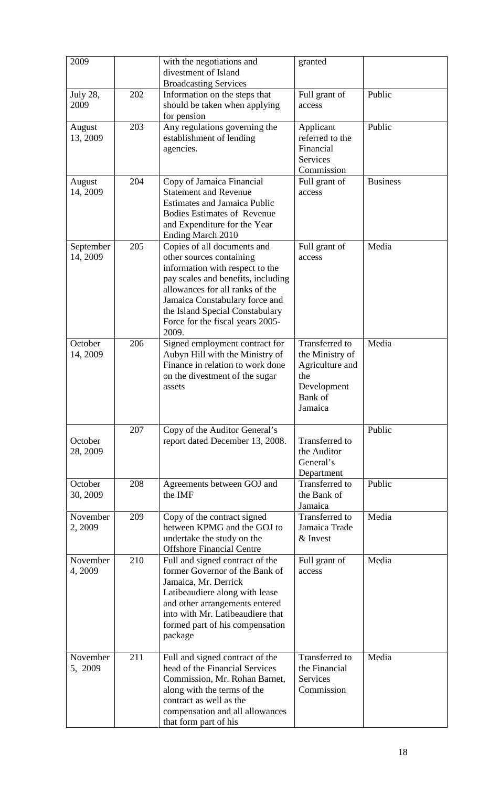| 2009                    |     | with the negotiations and<br>divestment of Island<br><b>Broadcasting Services</b>                                                                                                                                                                                                     | granted                                                                                          |                 |
|-------------------------|-----|---------------------------------------------------------------------------------------------------------------------------------------------------------------------------------------------------------------------------------------------------------------------------------------|--------------------------------------------------------------------------------------------------|-----------------|
| <b>July 28,</b><br>2009 | 202 | Information on the steps that<br>should be taken when applying<br>for pension                                                                                                                                                                                                         | Full grant of<br>access                                                                          | Public          |
| August<br>13, 2009      | 203 | Any regulations governing the<br>establishment of lending<br>agencies.                                                                                                                                                                                                                | Applicant<br>referred to the<br>Financial<br><b>Services</b><br>Commission                       | Public          |
| August<br>14, 2009      | 204 | Copy of Jamaica Financial<br><b>Statement and Revenue</b><br><b>Estimates and Jamaica Public</b><br><b>Bodies Estimates of Revenue</b><br>and Expenditure for the Year<br>Ending March 2010                                                                                           | Full grant of<br>access                                                                          | <b>Business</b> |
| September<br>14, 2009   | 205 | Copies of all documents and<br>other sources containing<br>information with respect to the<br>pay scales and benefits, including<br>allowances for all ranks of the<br>Jamaica Constabulary force and<br>the Island Special Constabulary<br>Force for the fiscal years 2005-<br>2009. | Full grant of<br>access                                                                          | Media           |
| October<br>14, 2009     | 206 | Signed employment contract for<br>Aubyn Hill with the Ministry of<br>Finance in relation to work done<br>on the divestment of the sugar<br>assets                                                                                                                                     | Transferred to<br>the Ministry of<br>Agriculture and<br>the<br>Development<br>Bank of<br>Jamaica | Media           |
| October<br>28, 2009     | 207 | Copy of the Auditor General's<br>report dated December 13, 2008.                                                                                                                                                                                                                      | Transferred to<br>the Auditor<br>General's<br>Department                                         | Public          |
| October<br>30, 2009     | 208 | Agreements between GOJ and<br>the IMF                                                                                                                                                                                                                                                 | Transferred to<br>the Bank of<br>Jamaica                                                         | Public          |
| November<br>2, 2009     | 209 | Copy of the contract signed<br>between KPMG and the GOJ to<br>undertake the study on the<br><b>Offshore Financial Centre</b>                                                                                                                                                          | Transferred to<br>Jamaica Trade<br>& Invest                                                      | Media           |
| November<br>4, 2009     | 210 | Full and signed contract of the<br>former Governor of the Bank of<br>Jamaica, Mr. Derrick<br>Latibeaudiere along with lease<br>and other arrangements entered<br>into with Mr. Latibeaudiere that<br>formed part of his compensation<br>package                                       | Full grant of<br>access                                                                          | Media           |
| November<br>5, 2009     | 211 | Full and signed contract of the<br>head of the Financial Services<br>Commission, Mr. Rohan Barnet,<br>along with the terms of the<br>contract as well as the<br>compensation and all allowances<br>that form part of his                                                              | Transferred to<br>the Financial<br><b>Services</b><br>Commission                                 | Media           |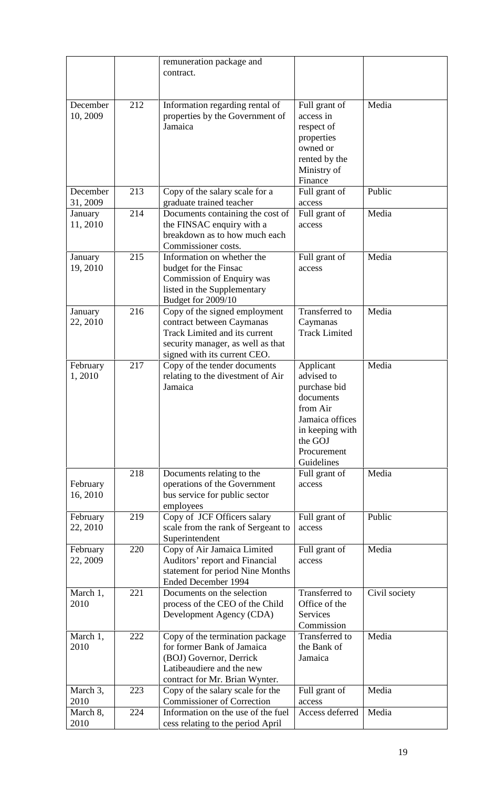|                      |     | remuneration package and<br>contract.                                                                                                                                   |                                                                                                                                                |               |
|----------------------|-----|-------------------------------------------------------------------------------------------------------------------------------------------------------------------------|------------------------------------------------------------------------------------------------------------------------------------------------|---------------|
| December<br>10, 2009 | 212 | Information regarding rental of<br>properties by the Government of<br>Jamaica                                                                                           | Full grant of<br>access in<br>respect of<br>properties<br>owned or<br>rented by the<br>Ministry of<br>Finance                                  | Media         |
| December<br>31, 2009 | 213 | Copy of the salary scale for a<br>graduate trained teacher                                                                                                              | Full grant of<br>access                                                                                                                        | Public        |
| January<br>11, 2010  | 214 | Documents containing the cost of<br>the FINSAC enquiry with a<br>breakdown as to how much each<br>Commissioner costs.                                                   | Full grant of<br>access                                                                                                                        | Media         |
| January<br>19, 2010  | 215 | Information on whether the<br>budget for the Finsac<br>Commission of Enquiry was<br>listed in the Supplementary<br>Budget for 2009/10                                   | Full grant of<br>access                                                                                                                        | Media         |
| January<br>22, 2010  | 216 | Copy of the signed employment<br>contract between Caymanas<br><b>Track Limited and its current</b><br>security manager, as well as that<br>signed with its current CEO. | <b>Transferred</b> to<br>Caymanas<br><b>Track Limited</b>                                                                                      | Media         |
| February<br>1,2010   | 217 | Copy of the tender documents<br>relating to the divestment of Air<br>Jamaica                                                                                            | Applicant<br>advised to<br>purchase bid<br>documents<br>from Air<br>Jamaica offices<br>in keeping with<br>the GOJ<br>Procurement<br>Guidelines | Media         |
| February<br>16, 2010 | 218 | Documents relating to the<br>operations of the Government<br>bus service for public sector<br>employees                                                                 | Full grant of<br>access                                                                                                                        | Media         |
| February<br>22, 2010 | 219 | Copy of JCF Officers salary<br>scale from the rank of Sergeant to<br>Superintendent                                                                                     | Full grant of<br>access                                                                                                                        | Public        |
| February<br>22, 2009 | 220 | Copy of Air Jamaica Limited<br>Auditors' report and Financial<br>statement for period Nine Months<br>Ended December 1994                                                | Full grant of<br>access                                                                                                                        | Media         |
| March 1,<br>2010     | 221 | Documents on the selection<br>process of the CEO of the Child<br>Development Agency (CDA)                                                                               | <b>Transferred</b> to<br>Office of the<br>Services<br>Commission                                                                               | Civil society |
| March 1,<br>2010     | 222 | Copy of the termination package<br>for former Bank of Jamaica<br>(BOJ) Governor, Derrick<br>Latibeaudiere and the new<br>contract for Mr. Brian Wynter.                 | Transferred to<br>the Bank of<br>Jamaica                                                                                                       | Media         |
| March 3,<br>2010     | 223 | Copy of the salary scale for the<br><b>Commissioner of Correction</b>                                                                                                   | Full grant of<br>access                                                                                                                        | Media         |
| March 8,<br>2010     | 224 | Information on the use of the fuel<br>cess relating to the period April                                                                                                 | Access deferred                                                                                                                                | Media         |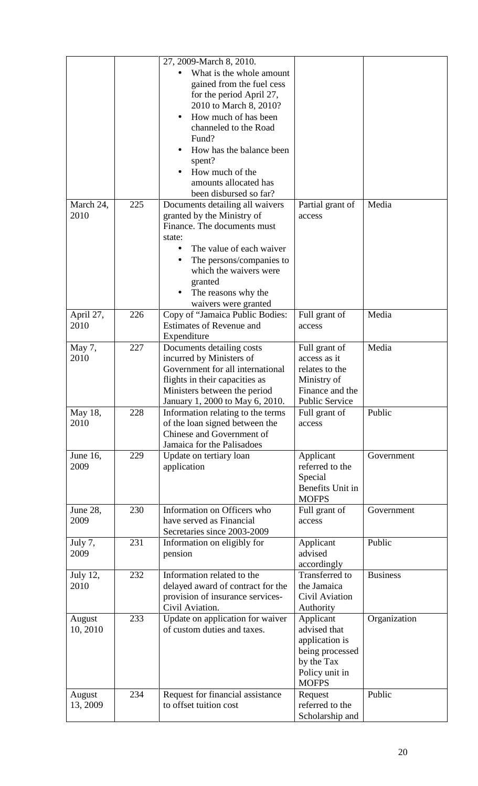|                 |     | 27, 2009-March 8, 2010.               |                  |                 |
|-----------------|-----|---------------------------------------|------------------|-----------------|
|                 |     | What is the whole amount              |                  |                 |
|                 |     | gained from the fuel cess             |                  |                 |
|                 |     | for the period April 27,              |                  |                 |
|                 |     | 2010 to March 8, 2010?                |                  |                 |
|                 |     | How much of has been                  |                  |                 |
|                 |     | channeled to the Road                 |                  |                 |
|                 |     |                                       |                  |                 |
|                 |     | Fund?                                 |                  |                 |
|                 |     | How has the balance been              |                  |                 |
|                 |     | spent?                                |                  |                 |
|                 |     | How much of the                       |                  |                 |
|                 |     | amounts allocated has                 |                  |                 |
|                 |     | been disbursed so far?                |                  |                 |
| March 24,       | 225 | Documents detailing all waivers       | Partial grant of | Media           |
| 2010            |     | granted by the Ministry of            | access           |                 |
|                 |     | Finance. The documents must           |                  |                 |
|                 |     | state:                                |                  |                 |
|                 |     | The value of each waiver<br>$\bullet$ |                  |                 |
|                 |     | The persons/companies to<br>$\bullet$ |                  |                 |
|                 |     | which the waivers were                |                  |                 |
|                 |     | granted                               |                  |                 |
|                 |     | The reasons why the                   |                  |                 |
|                 |     | waivers were granted                  |                  |                 |
| April 27,       | 226 | Copy of "Jamaica Public Bodies:       | Full grant of    | Media           |
| 2010            |     | <b>Estimates of Revenue and</b>       | access           |                 |
|                 |     | Expenditure                           |                  |                 |
| May 7,          | 227 | Documents detailing costs             | Full grant of    | Media           |
| 2010            |     | incurred by Ministers of              | access as it     |                 |
|                 |     | Government for all international      | relates to the   |                 |
|                 |     | flights in their capacities as        | Ministry of      |                 |
|                 |     | Ministers between the period          | Finance and the  |                 |
|                 |     | January 1, 2000 to May 6, 2010.       | Public Service   |                 |
| May 18,         | 228 | Information relating to the terms     | Full grant of    | Public          |
| 2010            |     | of the loan signed between the        | access           |                 |
|                 |     | Chinese and Government of             |                  |                 |
|                 |     | Jamaica for the Palisadoes            |                  |                 |
| June 16,        | 229 | Update on tertiary loan               | Applicant        | Government      |
| 2009            |     | application                           | referred to the  |                 |
|                 |     |                                       | Special          |                 |
|                 |     |                                       | Benefits Unit in |                 |
|                 |     |                                       | <b>MOFPS</b>     |                 |
| June 28,        | 230 | Information on Officers who           | Full grant of    | Government      |
| 2009            |     | have served as Financial              | access           |                 |
|                 |     | Secretaries since 2003-2009           |                  |                 |
| July 7,         | 231 | Information on eligibly for           | Applicant        | Public          |
| 2009            |     | pension                               | advised          |                 |
|                 |     |                                       | accordingly      |                 |
| <b>July 12,</b> | 232 | Information related to the            | Transferred to   | <b>Business</b> |
| 2010            |     | delayed award of contract for the     | the Jamaica      |                 |
|                 |     | provision of insurance services-      | Civil Aviation   |                 |
|                 |     | Civil Aviation.                       | Authority        |                 |
| August          | 233 | Update on application for waiver      | Applicant        | Organization    |
| 10, 2010        |     | of custom duties and taxes.           | advised that     |                 |
|                 |     |                                       | application is   |                 |
|                 |     |                                       | being processed  |                 |
|                 |     |                                       | by the Tax       |                 |
|                 |     |                                       | Policy unit in   |                 |
|                 |     |                                       | <b>MOFPS</b>     |                 |
| August          | 234 | Request for financial assistance      | Request          | Public          |
| 13, 2009        |     | to offset tuition cost                | referred to the  |                 |
|                 |     |                                       | Scholarship and  |                 |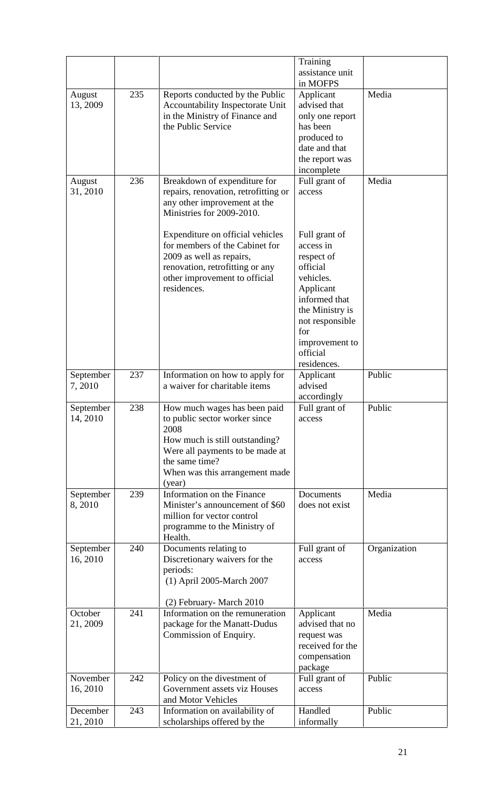|                       |     |                                                                                                                                                                                                          | Training<br>assistance unit                                                                                                                                                               |              |
|-----------------------|-----|----------------------------------------------------------------------------------------------------------------------------------------------------------------------------------------------------------|-------------------------------------------------------------------------------------------------------------------------------------------------------------------------------------------|--------------|
| August<br>13, 2009    | 235 | Reports conducted by the Public<br>Accountability Inspectorate Unit<br>in the Ministry of Finance and<br>the Public Service                                                                              | in MOFPS<br>Applicant<br>advised that<br>only one report<br>has been<br>produced to                                                                                                       | Media        |
| August<br>31, 2010    | 236 | Breakdown of expenditure for<br>repairs, renovation, retrofitting or<br>any other improvement at the<br>Ministries for 2009-2010.                                                                        | date and that<br>the report was<br>incomplete<br>Full grant of<br>access                                                                                                                  | Media        |
|                       |     | Expenditure on official vehicles<br>for members of the Cabinet for<br>2009 as well as repairs,<br>renovation, retrofitting or any<br>other improvement to official<br>residences.                        | Full grant of<br>access in<br>respect of<br>official<br>vehicles.<br>Applicant<br>informed that<br>the Ministry is<br>not responsible<br>for<br>improvement to<br>official<br>residences. |              |
| September<br>7,2010   | 237 | Information on how to apply for<br>a waiver for charitable items                                                                                                                                         | Applicant<br>advised<br>accordingly                                                                                                                                                       | Public       |
| September<br>14, 2010 | 238 | How much wages has been paid<br>to public sector worker since<br>2008<br>How much is still outstanding?<br>Were all payments to be made at<br>the same time?<br>When was this arrangement made<br>(year) | Full grant of<br>access                                                                                                                                                                   | Public       |
| September<br>8,2010   | 239 | Information on the Finance<br>Minister's announcement of \$60<br>million for vector control<br>programme to the Ministry of<br>Health.                                                                   | Documents<br>does not exist                                                                                                                                                               | Media        |
| September<br>16, 2010 | 240 | Documents relating to<br>Discretionary waivers for the<br>periods:<br>(1) April 2005-March 2007                                                                                                          | Full grant of<br>access                                                                                                                                                                   | Organization |
| October<br>21, 2009   | 241 | (2) February-March 2010<br>Information on the remuneration<br>package for the Manatt-Dudus<br>Commission of Enquiry.                                                                                     | Applicant<br>advised that no<br>request was<br>received for the<br>compensation<br>package                                                                                                | Media        |
| November<br>16, 2010  | 242 | Policy on the divestment of<br>Government assets viz Houses<br>and Motor Vehicles                                                                                                                        | Full grant of<br>access                                                                                                                                                                   | Public       |
| December<br>21, 2010  | 243 | Information on availability of<br>scholarships offered by the                                                                                                                                            | Handled<br>informally                                                                                                                                                                     | Public       |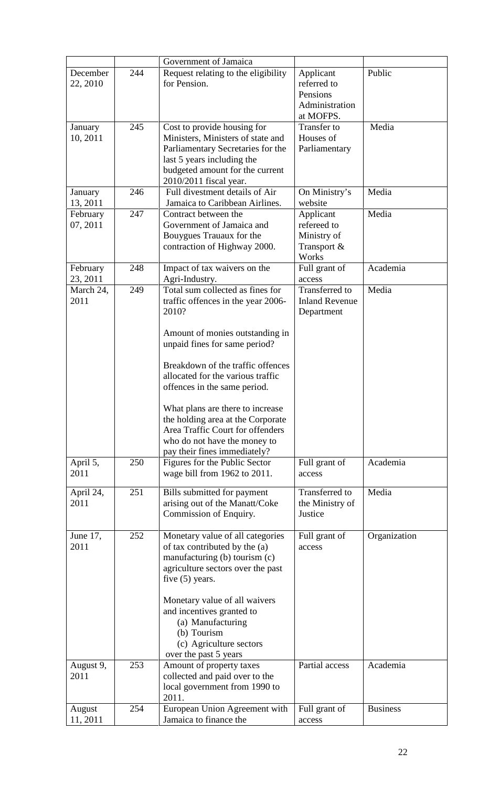|                      |     | Government of Jamaica                                                 |                                         |                 |
|----------------------|-----|-----------------------------------------------------------------------|-----------------------------------------|-----------------|
| December<br>22, 2010 | 244 | Request relating to the eligibility<br>for Pension.                   | Applicant<br>referred to                | Public          |
|                      |     |                                                                       | Pensions<br>Administration<br>at MOFPS. |                 |
| January<br>10, 2011  | 245 | Cost to provide housing for<br>Ministers, Ministers of state and      | Transfer to<br>Houses of                | Media           |
|                      |     | Parliamentary Secretaries for the<br>last 5 years including the       | Parliamentary                           |                 |
|                      |     | budgeted amount for the current<br>2010/2011 fiscal year.             |                                         |                 |
| January              | 246 | Full divestment details of Air                                        | On Ministry's                           | Media           |
| 13, 2011             |     | Jamaica to Caribbean Airlines.                                        | website                                 |                 |
| February             | 247 | Contract between the                                                  | Applicant                               | Media           |
| 07, 2011             |     | Government of Jamaica and<br>Bouygues Trauaux for the                 | refereed to<br>Ministry of              |                 |
|                      |     | contraction of Highway 2000.                                          | Transport &                             |                 |
|                      |     |                                                                       | Works                                   |                 |
| February<br>23, 2011 | 248 | Impact of tax waivers on the<br>Agri-Industry.                        | Full grant of<br>access                 | Academia        |
| March 24,            | 249 | Total sum collected as fines for                                      | Transferred to                          | Media           |
| 2011                 |     | traffic offences in the year 2006-<br>2010?                           | <b>Inland Revenue</b><br>Department     |                 |
|                      |     |                                                                       |                                         |                 |
|                      |     | Amount of monies outstanding in                                       |                                         |                 |
|                      |     | unpaid fines for same period?                                         |                                         |                 |
|                      |     | Breakdown of the traffic offences                                     |                                         |                 |
|                      |     | allocated for the various traffic<br>offences in the same period.     |                                         |                 |
|                      |     |                                                                       |                                         |                 |
|                      |     | What plans are there to increase                                      |                                         |                 |
|                      |     | the holding area at the Corporate<br>Area Traffic Court for offenders |                                         |                 |
|                      |     | who do not have the money to                                          |                                         |                 |
|                      |     | pay their fines immediately?                                          |                                         |                 |
| April 5,             | 250 | Figures for the Public Sector                                         | Full grant of                           | Academia        |
| 2011                 |     | wage bill from 1962 to 2011.                                          | access                                  |                 |
| April 24,            | 251 | Bills submitted for payment                                           | Transferred to                          | Media           |
| 2011                 |     | arising out of the Manatt/Coke<br>Commission of Enquiry.              | the Ministry of<br>Justice              |                 |
|                      |     |                                                                       |                                         |                 |
| June 17,             | 252 | Monetary value of all categories                                      | Full grant of                           | Organization    |
| 2011                 |     | of tax contributed by the (a)                                         | access                                  |                 |
|                      |     | manufacturing (b) tourism (c)<br>agriculture sectors over the past    |                                         |                 |
|                      |     | five $(5)$ years.                                                     |                                         |                 |
|                      |     | Monetary value of all waivers                                         |                                         |                 |
|                      |     | and incentives granted to                                             |                                         |                 |
|                      |     | (a) Manufacturing                                                     |                                         |                 |
|                      |     | (b) Tourism<br>(c) Agriculture sectors                                |                                         |                 |
|                      |     | over the past 5 years                                                 |                                         |                 |
| August 9,            | 253 | Amount of property taxes                                              | Partial access                          | Academia        |
| 2011                 |     | collected and paid over to the                                        |                                         |                 |
|                      |     | local government from 1990 to<br>2011.                                |                                         |                 |
| August               | 254 | European Union Agreement with                                         | Full grant of                           | <b>Business</b> |
| 11, 2011             |     | Jamaica to finance the                                                | access                                  |                 |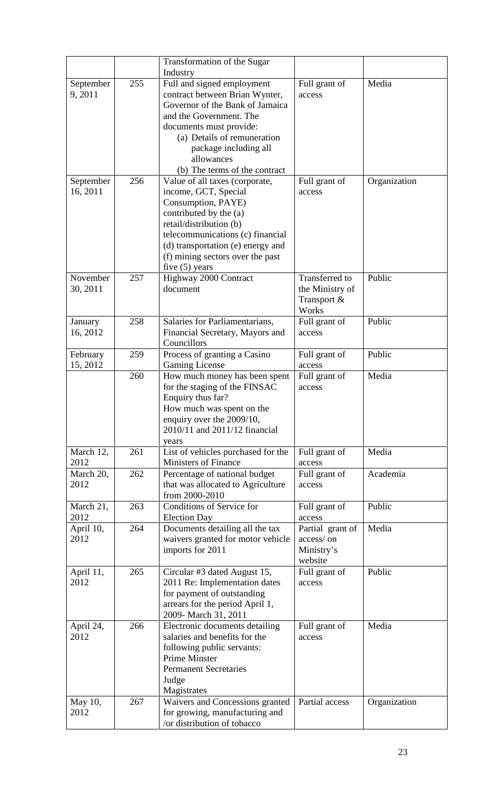|                       |     | Transformation of the Sugar<br>Industry                                                                                                                                                                                                                            |                                                           |              |
|-----------------------|-----|--------------------------------------------------------------------------------------------------------------------------------------------------------------------------------------------------------------------------------------------------------------------|-----------------------------------------------------------|--------------|
| September<br>9,2011   | 255 | Full and signed employment<br>contract between Brian Wynter,<br>Governor of the Bank of Jamaica<br>and the Government. The<br>documents must provide:<br>(a) Details of remuneration<br>package including all<br>allowances<br>(b) The terms of the contract       | Full grant of<br>access                                   | Media        |
| September<br>16, 2011 | 256 | Value of all taxes (corporate,<br>income, GCT, Special<br>Consumption, PAYE)<br>contributed by the (a)<br>retail/distribution (b)<br>telecommunications (c) financial<br>(d) transportation (e) energy and<br>(f) mining sectors over the past<br>five $(5)$ years | Full grant of<br>access                                   | Organization |
| November<br>30, 2011  | 257 | Highway 2000 Contract<br>document                                                                                                                                                                                                                                  | Transferred to<br>the Ministry of<br>Transport &<br>Works | Public       |
| January<br>16, 2012   | 258 | Salaries for Parliamentarians,<br>Financial Secretary, Mayors and<br>Councillors                                                                                                                                                                                   | Full grant of<br>access                                   | Public       |
| February<br>15, 2012  | 259 | Process of granting a Casino<br><b>Gaming License</b>                                                                                                                                                                                                              | Full grant of<br>access                                   | Public       |
|                       | 260 | How much money has been spent<br>for the staging of the FINSAC<br>Enquiry thus far?<br>How much was spent on the<br>enquiry over the 2009/10,<br>2010/11 and 2011/12 financial                                                                                     | Full grant of<br>access                                   | Media        |
| March 12,<br>2012     | 261 | years<br>List of vehicles purchased for the<br><b>Ministers of Finance</b>                                                                                                                                                                                         | Full grant of<br>access                                   | Media        |
| March 20,<br>2012     | 262 | Percentage of national budget<br>that was allocated to Agriculture<br>from 2000-2010                                                                                                                                                                               | Full grant of<br>access                                   | Academia     |
| March 21,<br>2012     | 263 | Conditions of Service for<br><b>Election Day</b>                                                                                                                                                                                                                   | Full grant of<br>access                                   | Public       |
| April 10,<br>2012     | 264 | Documents detailing all the tax<br>waivers granted for motor vehicle<br>imports for 2011                                                                                                                                                                           | Partial grant of<br>access/on<br>Ministry's<br>website    | Media        |
| April 11,<br>2012     | 265 | Circular #3 dated August 15,<br>2011 Re: Implementation dates<br>for payment of outstanding<br>arrears for the period April 1,<br>2009- March 31, 2011                                                                                                             | Full grant of<br>access                                   | Public       |
| April 24,<br>2012     | 266 | Electronic documents detailing<br>salaries and benefits for the<br>following public servants:<br><b>Prime Minster</b><br><b>Permanent Secretaries</b><br>Judge<br>Magistrates                                                                                      | Full grant of<br>access                                   | Media        |
| May 10,<br>2012       | 267 | Waivers and Concessions granted<br>for growing, manufacturing and<br>/or distribution of tobacco                                                                                                                                                                   | Partial access                                            | Organization |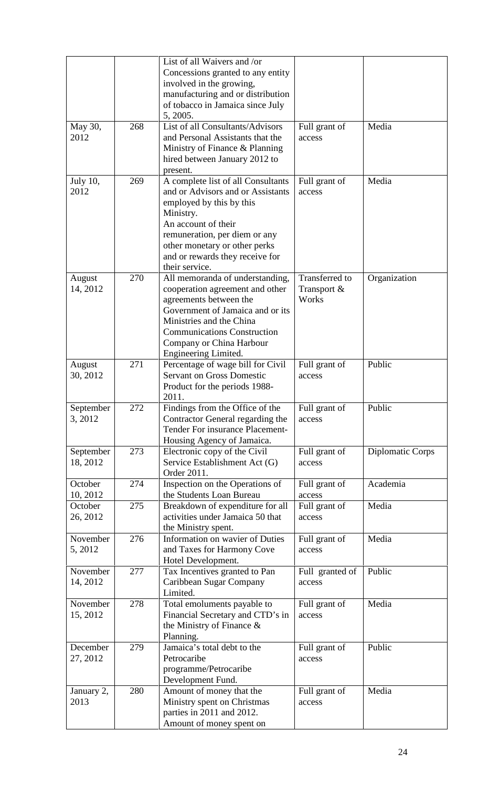| May 30,<br>2012         | 268 | List of all Waivers and /or<br>Concessions granted to any entity<br>involved in the growing,<br>manufacturing and or distribution<br>of tobacco in Jamaica since July<br>5, 2005.<br>List of all Consultants/Advisors<br>and Personal Assistants that the<br>Ministry of Finance & Planning<br>hired between January 2012 to<br>present. | Full grant of<br>access                       | Media            |
|-------------------------|-----|------------------------------------------------------------------------------------------------------------------------------------------------------------------------------------------------------------------------------------------------------------------------------------------------------------------------------------------|-----------------------------------------------|------------------|
| <b>July 10,</b><br>2012 | 269 | A complete list of all Consultants<br>and or Advisors and or Assistants<br>employed by this by this<br>Ministry.<br>An account of their<br>remuneration, per diem or any<br>other monetary or other perks<br>and or rewards they receive for                                                                                             | Full grant of<br>access                       | Media            |
| August<br>14, 2012      | 270 | their service.<br>All memoranda of understanding,<br>cooperation agreement and other<br>agreements between the<br>Government of Jamaica and or its<br>Ministries and the China<br><b>Communications Construction</b><br>Company or China Harbour<br>Engineering Limited.                                                                 | <b>Transferred</b> to<br>Transport &<br>Works | Organization     |
| August<br>30, 2012      | 271 | Percentage of wage bill for Civil<br><b>Servant on Gross Domestic</b><br>Product for the periods 1988-<br>2011.                                                                                                                                                                                                                          | Full grant of<br>access                       | Public           |
| September<br>3, 2012    | 272 | Findings from the Office of the<br>Contractor General regarding the<br>Tender For insurance Placement-<br>Housing Agency of Jamaica.                                                                                                                                                                                                     | Full grant of<br>access                       | Public           |
| September<br>18, 2012   | 273 | Electronic copy of the Civil<br>Service Establishment Act (G)<br>Order 2011.                                                                                                                                                                                                                                                             | Full grant of<br>access                       | Diplomatic Corps |
| October<br>10, 2012     | 274 | Inspection on the Operations of<br>the Students Loan Bureau                                                                                                                                                                                                                                                                              | Full grant of<br>access                       | Academia         |
| October<br>26, 2012     | 275 | Breakdown of expenditure for all<br>activities under Jamaica 50 that<br>the Ministry spent.                                                                                                                                                                                                                                              | Full grant of<br>access                       | Media            |
| November<br>5, 2012     | 276 | Information on wavier of Duties<br>and Taxes for Harmony Cove<br>Hotel Development.                                                                                                                                                                                                                                                      | Full grant of<br>access                       | Media            |
| November<br>14, 2012    | 277 | Tax Incentives granted to Pan<br>Caribbean Sugar Company<br>Limited.                                                                                                                                                                                                                                                                     | Full granted of<br>access                     | Public           |
| November<br>15, 2012    | 278 | Total emoluments payable to<br>Financial Secretary and CTD's in<br>the Ministry of Finance $\&$<br>Planning.                                                                                                                                                                                                                             | Full grant of<br>access                       | Media            |
| December<br>27, 2012    | 279 | Jamaica's total debt to the<br>Petrocaribe<br>programme/Petrocaribe<br>Development Fund.                                                                                                                                                                                                                                                 | Full grant of<br>access                       | Public           |
| January 2,<br>2013      | 280 | Amount of money that the<br>Ministry spent on Christmas<br>parties in 2011 and 2012.<br>Amount of money spent on                                                                                                                                                                                                                         | Full grant of<br>access                       | Media            |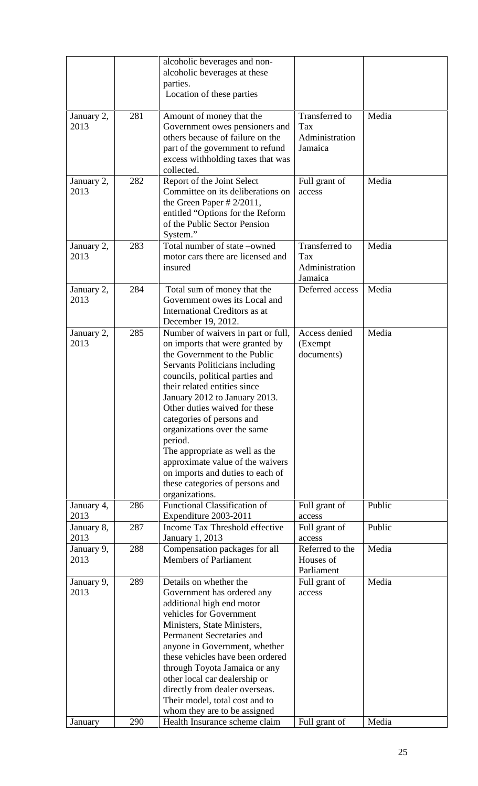|                                          |            | alcoholic beverages and non-<br>alcoholic beverages at these<br>parties.<br>Location of these parties                                                                                                                                                                                                                                                                                                                                                                                                                                                                       |                                                                    |                 |
|------------------------------------------|------------|-----------------------------------------------------------------------------------------------------------------------------------------------------------------------------------------------------------------------------------------------------------------------------------------------------------------------------------------------------------------------------------------------------------------------------------------------------------------------------------------------------------------------------------------------------------------------------|--------------------------------------------------------------------|-----------------|
| January 2,<br>2013                       | 281        | Amount of money that the<br>Government owes pensioners and<br>others because of failure on the<br>part of the government to refund<br>excess withholding taxes that was<br>collected.                                                                                                                                                                                                                                                                                                                                                                                       | Transferred to<br>Tax<br>Administration<br>Jamaica                 | Media           |
| January 2,<br>2013                       | 282        | Report of the Joint Select<br>Committee on its deliberations on<br>the Green Paper $\# 2/2011$ ,<br>entitled "Options for the Reform<br>of the Public Sector Pension<br>System."                                                                                                                                                                                                                                                                                                                                                                                            | Full grant of<br>access                                            | Media           |
| January 2,<br>2013                       | 283        | Total number of state -owned<br>motor cars there are licensed and<br>insured                                                                                                                                                                                                                                                                                                                                                                                                                                                                                                | <b>Transferred</b> to<br>Tax<br>Administration<br>Jamaica          | Media           |
| January 2,<br>2013                       | 284        | Total sum of money that the<br>Government owes its Local and<br>International Creditors as at<br>December 19, 2012.                                                                                                                                                                                                                                                                                                                                                                                                                                                         | Deferred access                                                    | Media           |
| January 2,<br>2013<br>January 4,<br>2013 | 285<br>286 | Number of waivers in part or full,<br>on imports that were granted by<br>the Government to the Public<br>Servants Politicians including<br>councils, political parties and<br>their related entities since<br>January 2012 to January 2013.<br>Other duties waived for these<br>categories of persons and<br>organizations over the same<br>period.<br>The appropriate as well as the<br>approximate value of the waivers<br>on imports and duties to each of<br>these categories of persons and<br>organizations.<br>Functional Classification of<br>Expenditure 2003-2011 | Access denied<br>(Exempt)<br>documents)<br>Full grant of<br>access | Media<br>Public |
| January 8,<br>2013                       | 287<br>288 | Income Tax Threshold effective<br><b>January 1, 2013</b>                                                                                                                                                                                                                                                                                                                                                                                                                                                                                                                    | Full grant of<br>access<br>Referred to the                         | Public<br>Media |
| January 9,<br>2013                       |            | Compensation packages for all<br><b>Members of Parliament</b>                                                                                                                                                                                                                                                                                                                                                                                                                                                                                                               | Houses of<br>Parliament                                            |                 |
| January 9,<br>2013                       | 289        | Details on whether the<br>Government has ordered any<br>additional high end motor<br>vehicles for Government<br>Ministers, State Ministers,<br>Permanent Secretaries and<br>anyone in Government, whether<br>these vehicles have been ordered<br>through Toyota Jamaica or any<br>other local car dealership or<br>directly from dealer overseas.<br>Their model, total cost and to<br>whom they are to be assigned                                                                                                                                                         | Full grant of<br>access                                            | Media           |
| January                                  | 290        | Health Insurance scheme claim                                                                                                                                                                                                                                                                                                                                                                                                                                                                                                                                               | Full grant of                                                      | Media           |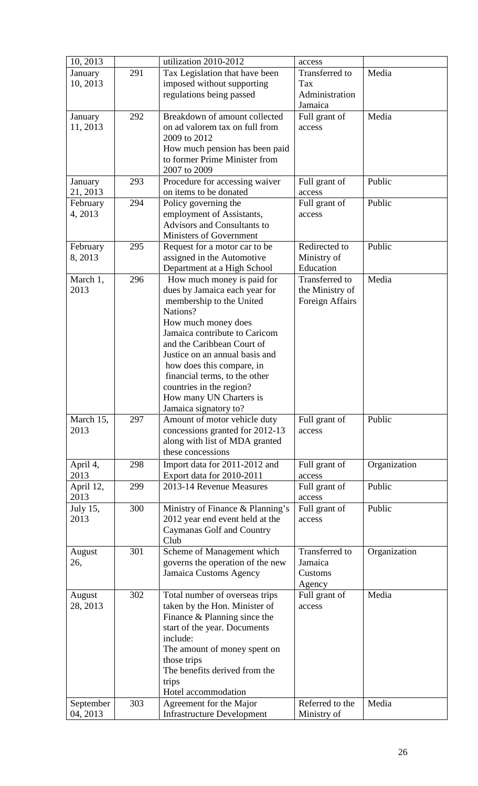| 10, 2013              |     | utilization 2010-2012                                                                                                                                                                                                                                                                                                                                                     | access                                               |              |
|-----------------------|-----|---------------------------------------------------------------------------------------------------------------------------------------------------------------------------------------------------------------------------------------------------------------------------------------------------------------------------------------------------------------------------|------------------------------------------------------|--------------|
| January<br>10, 2013   | 291 | Tax Legislation that have been<br>imposed without supporting<br>regulations being passed                                                                                                                                                                                                                                                                                  | Transferred to<br>Tax<br>Administration<br>Jamaica   | Media        |
| January<br>11, 2013   | 292 | Breakdown of amount collected<br>on ad valorem tax on full from<br>2009 to 2012<br>How much pension has been paid<br>to former Prime Minister from<br>2007 to 2009                                                                                                                                                                                                        | Full grant of<br>access                              | Media        |
| January<br>21, 2013   | 293 | Procedure for accessing waiver<br>on items to be donated                                                                                                                                                                                                                                                                                                                  | Full grant of<br>access                              | Public       |
| February<br>4, 2013   | 294 | Policy governing the<br>employment of Assistants,<br>Advisors and Consultants to<br><b>Ministers of Government</b>                                                                                                                                                                                                                                                        | Full grant of<br>access                              | Public       |
| February<br>8, 2013   | 295 | Request for a motor car to be<br>assigned in the Automotive<br>Department at a High School                                                                                                                                                                                                                                                                                | Redirected to<br>Ministry of<br>Education            | Public       |
| March 1,<br>2013      | 296 | How much money is paid for<br>dues by Jamaica each year for<br>membership to the United<br>Nations?<br>How much money does<br>Jamaica contribute to Caricom<br>and the Caribbean Court of<br>Justice on an annual basis and<br>how does this compare, in<br>financial terms, to the other<br>countries in the region?<br>How many UN Charters is<br>Jamaica signatory to? | Transferred to<br>the Ministry of<br>Foreign Affairs | Media        |
| March 15,<br>2013     | 297 | Amount of motor vehicle duty<br>concessions granted for 2012-13<br>along with list of MDA granted<br>these concessions                                                                                                                                                                                                                                                    | Full grant of<br>access                              | Public       |
| April 4,<br>2013      | 298 | Import data for 2011-2012 and<br>Export data for 2010-2011                                                                                                                                                                                                                                                                                                                | Full grant of<br>access                              | Organization |
| April 12,<br>2013     | 299 | 2013-14 Revenue Measures                                                                                                                                                                                                                                                                                                                                                  | Full grant of<br>access                              | Public       |
| July 15,<br>2013      | 300 | Ministry of Finance & Planning's<br>2012 year end event held at the<br>Caymanas Golf and Country<br>Club                                                                                                                                                                                                                                                                  | Full grant of<br>access                              | Public       |
| August<br>26,         | 301 | Scheme of Management which<br>governs the operation of the new<br>Jamaica Customs Agency                                                                                                                                                                                                                                                                                  | Transferred to<br>Jamaica<br>Customs<br>Agency       | Organization |
| August<br>28, 2013    | 302 | Total number of overseas trips<br>taken by the Hon. Minister of<br>Finance & Planning since the<br>start of the year. Documents<br>include:<br>The amount of money spent on<br>those trips<br>The benefits derived from the<br>trips<br>Hotel accommodation                                                                                                               | Full grant of<br>access                              | Media        |
| September<br>04, 2013 | 303 | Agreement for the Major<br><b>Infrastructure Development</b>                                                                                                                                                                                                                                                                                                              | Referred to the<br>Ministry of                       | Media        |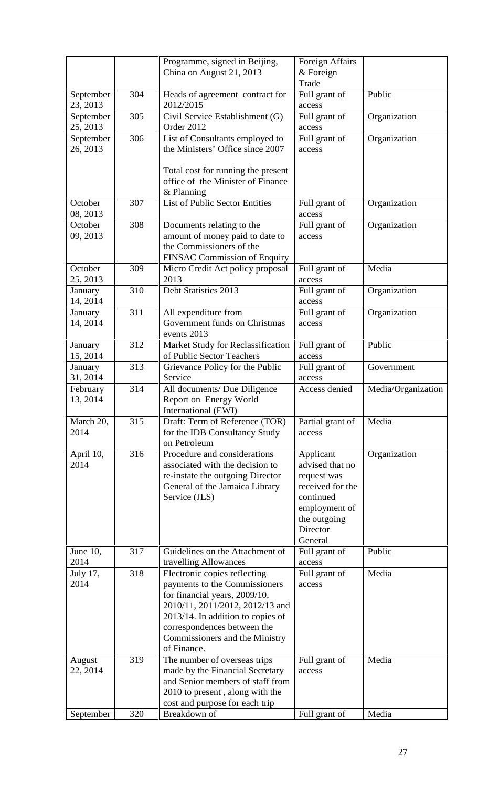|                       |     | Programme, signed in Beijing,<br>China on August 21, 2013                                                                                                                                                                                                 | Foreign Affairs<br>$&$ Foreign<br>Trade                                                                                              |                    |
|-----------------------|-----|-----------------------------------------------------------------------------------------------------------------------------------------------------------------------------------------------------------------------------------------------------------|--------------------------------------------------------------------------------------------------------------------------------------|--------------------|
| September<br>23, 2013 | 304 | Heads of agreement contract for<br>2012/2015                                                                                                                                                                                                              | Full grant of<br>access                                                                                                              | Public             |
| September<br>25, 2013 | 305 | Civil Service Establishment (G)<br>Order 2012                                                                                                                                                                                                             | Full grant of<br>access                                                                                                              | Organization       |
| September<br>26, 2013 | 306 | List of Consultants employed to<br>the Ministers' Office since 2007                                                                                                                                                                                       | Full grant of<br>access                                                                                                              | Organization       |
|                       |     | Total cost for running the present<br>office of the Minister of Finance<br>& Planning                                                                                                                                                                     |                                                                                                                                      |                    |
| October<br>08, 2013   | 307 | <b>List of Public Sector Entities</b>                                                                                                                                                                                                                     | Full grant of<br>access                                                                                                              | Organization       |
| October<br>09, 2013   | 308 | Documents relating to the<br>amount of money paid to date to<br>the Commissioners of the<br>FINSAC Commission of Enquiry                                                                                                                                  | Full grant of<br>access                                                                                                              | Organization       |
| October<br>25, 2013   | 309 | Micro Credit Act policy proposal<br>2013                                                                                                                                                                                                                  | Full grant of<br>access                                                                                                              | Media              |
| January<br>14, 2014   | 310 | Debt Statistics 2013                                                                                                                                                                                                                                      | Full grant of<br>access                                                                                                              | Organization       |
| January<br>14, 2014   | 311 | All expenditure from<br>Government funds on Christmas<br>events 2013                                                                                                                                                                                      | Full grant of<br>access                                                                                                              | Organization       |
| January<br>15, 2014   | 312 | Market Study for Reclassification<br>of Public Sector Teachers                                                                                                                                                                                            | Full grant of<br>access                                                                                                              | Public             |
| January<br>31, 2014   | 313 | Grievance Policy for the Public<br>Service                                                                                                                                                                                                                | Full grant of<br>access                                                                                                              | Government         |
| February<br>13, 2014  | 314 | All documents/ Due Diligence<br>Report on Energy World<br>International (EWI)                                                                                                                                                                             | Access denied                                                                                                                        | Media/Organization |
| March 20,<br>2014     | 315 | Draft: Term of Reference (TOR)<br>for the IDB Consultancy Study<br>on Petroleum                                                                                                                                                                           | Partial grant of<br>access                                                                                                           | Media              |
| April 10,<br>2014     | 316 | Procedure and considerations<br>associated with the decision to<br>re-instate the outgoing Director<br>General of the Jamaica Library<br>Service (JLS)                                                                                                    | Applicant<br>advised that no<br>request was<br>received for the<br>continued<br>employment of<br>the outgoing<br>Director<br>General | Organization       |
| June $10$ ,<br>2014   | 317 | Guidelines on the Attachment of<br>travelling Allowances                                                                                                                                                                                                  | Full grant of<br>access                                                                                                              | Public             |
| July 17,<br>2014      | 318 | Electronic copies reflecting<br>payments to the Commissioners<br>for financial years, 2009/10,<br>2010/11, 2011/2012, 2012/13 and<br>$2013/14$ . In addition to copies of<br>correspondences between the<br>Commissioners and the Ministry<br>of Finance. | Full grant of<br>access                                                                                                              | Media              |
| August<br>22, 2014    | 319 | The number of overseas trips<br>made by the Financial Secretary<br>and Senior members of staff from<br>2010 to present, along with the<br>cost and purpose for each trip                                                                                  | Full grant of<br>access                                                                                                              | Media              |
| September             | 320 | Breakdown of                                                                                                                                                                                                                                              | Full grant of                                                                                                                        | Media              |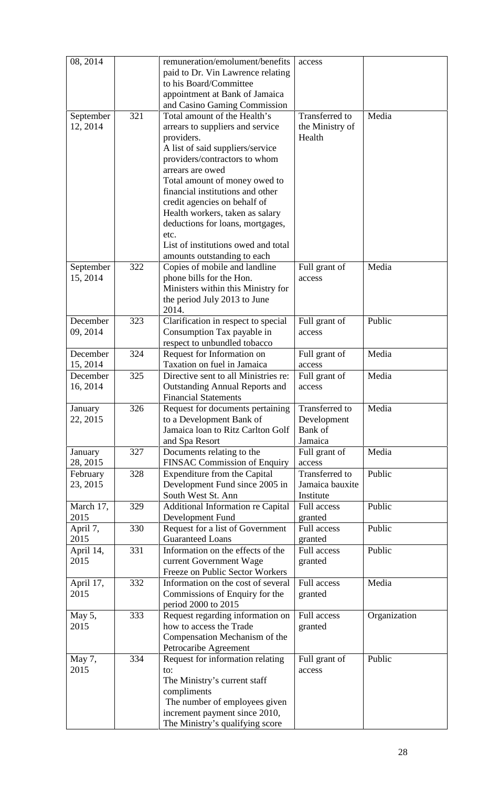| 08, 2014                                       |            | remuneration/emolument/benefits<br>paid to Dr. Vin Lawrence relating<br>to his Board/Committee<br>appointment at Bank of Jamaica<br>and Casino Gaming Commission                                                                                                                                                                                                                                                                                                                               | access                                                                 |                |
|------------------------------------------------|------------|------------------------------------------------------------------------------------------------------------------------------------------------------------------------------------------------------------------------------------------------------------------------------------------------------------------------------------------------------------------------------------------------------------------------------------------------------------------------------------------------|------------------------------------------------------------------------|----------------|
| September<br>12, 2014<br>September<br>15, 2014 | 321<br>322 | Total amount of the Health's<br>arrears to suppliers and service<br>providers.<br>A list of said suppliers/service<br>providers/contractors to whom<br>arrears are owed<br>Total amount of money owed to<br>financial institutions and other<br>credit agencies on behalf of<br>Health workers, taken as salary<br>deductions for loans, mortgages,<br>etc.<br>List of institutions owed and total<br>amounts outstanding to each<br>Copies of mobile and landline<br>phone bills for the Hon. | Transferred to<br>the Ministry of<br>Health<br>Full grant of<br>access | Media<br>Media |
|                                                |            | Ministers within this Ministry for<br>the period July 2013 to June<br>2014.                                                                                                                                                                                                                                                                                                                                                                                                                    |                                                                        |                |
| December<br>09, 2014                           | 323        | Clarification in respect to special<br>Consumption Tax payable in<br>respect to unbundled tobacco                                                                                                                                                                                                                                                                                                                                                                                              | Full grant of<br>access                                                | Public         |
| December<br>15, 2014                           | 324        | Request for Information on<br>Taxation on fuel in Jamaica                                                                                                                                                                                                                                                                                                                                                                                                                                      | Full grant of<br>access                                                | Media          |
| December<br>16, 2014                           | 325        | Directive sent to all Ministries re:<br><b>Outstanding Annual Reports and</b><br><b>Financial Statements</b>                                                                                                                                                                                                                                                                                                                                                                                   | Full grant of<br>access                                                | Media          |
| January<br>22, 2015                            | 326        | Request for documents pertaining<br>to a Development Bank of<br>Jamaica loan to Ritz Carlton Golf<br>and Spa Resort                                                                                                                                                                                                                                                                                                                                                                            | Transferred to<br>Development<br>Bank of<br>Jamaica                    | Media          |
| January<br>28, 2015                            | 327        | Documents relating to the<br>FINSAC Commission of Enquiry                                                                                                                                                                                                                                                                                                                                                                                                                                      | Full grant of<br>access                                                | Media          |
| February<br>23, 2015                           | 328        | Expenditure from the Capital<br>Development Fund since 2005 in<br>South West St. Ann                                                                                                                                                                                                                                                                                                                                                                                                           | Transferred to<br>Jamaica bauxite<br>Institute                         | Public         |
| March 17,<br>2015                              | 329        | <b>Additional Information re Capital</b><br>Development Fund                                                                                                                                                                                                                                                                                                                                                                                                                                   | <b>Full access</b><br>granted                                          | Public         |
| April 7,<br>2015                               | 330        | Request for a list of Government<br><b>Guaranteed Loans</b>                                                                                                                                                                                                                                                                                                                                                                                                                                    | Full access<br>granted                                                 | Public         |
| April 14,<br>2015                              | 331        | Information on the effects of the<br>current Government Wage<br>Freeze on Public Sector Workers                                                                                                                                                                                                                                                                                                                                                                                                | <b>Full access</b><br>granted                                          | Public         |
| April 17,<br>2015                              | 332        | Information on the cost of several<br>Commissions of Enquiry for the<br>period 2000 to 2015                                                                                                                                                                                                                                                                                                                                                                                                    | <b>Full access</b><br>granted                                          | Media          |
| May 5,<br>2015                                 | 333        | Request regarding information on<br>how to access the Trade<br>Compensation Mechanism of the<br>Petrocaribe Agreement                                                                                                                                                                                                                                                                                                                                                                          | Full access<br>granted                                                 | Organization   |
| May 7,<br>2015                                 | 334        | Request for information relating<br>to:<br>The Ministry's current staff<br>compliments<br>The number of employees given<br>increment payment since 2010,<br>The Ministry's qualifying score                                                                                                                                                                                                                                                                                                    | Full grant of<br>access                                                | Public         |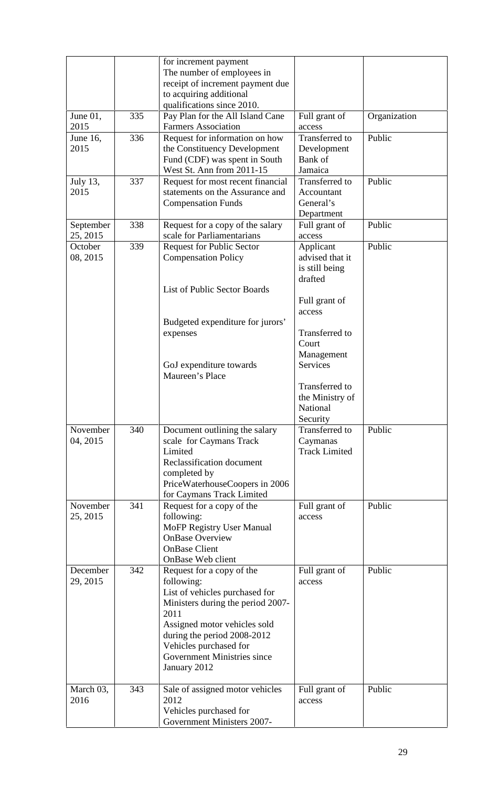|                       |     | for increment payment<br>The number of employees in<br>receipt of increment payment due<br>to acquiring additional<br>qualifications since 2010.                                                                                                                      |                                                           |              |
|-----------------------|-----|-----------------------------------------------------------------------------------------------------------------------------------------------------------------------------------------------------------------------------------------------------------------------|-----------------------------------------------------------|--------------|
| June 01,<br>2015      | 335 | Pay Plan for the All Island Cane<br><b>Farmers Association</b>                                                                                                                                                                                                        | Full grant of<br>access                                   | Organization |
| June 16,<br>2015      | 336 | Request for information on how<br>the Constituency Development<br>Fund (CDF) was spent in South<br>West St. Ann from 2011-15                                                                                                                                          | Transferred to<br>Development<br>Bank of<br>Jamaica       | Public       |
| July 13,<br>2015      | 337 | Request for most recent financial<br>statements on the Assurance and<br><b>Compensation Funds</b>                                                                                                                                                                     | Transferred to<br>Accountant<br>General's<br>Department   | Public       |
| September<br>25, 2015 | 338 | Request for a copy of the salary<br>scale for Parliamentarians                                                                                                                                                                                                        | Full grant of<br>access                                   | Public       |
| October<br>08, 2015   | 339 | <b>Request for Public Sector</b><br><b>Compensation Policy</b>                                                                                                                                                                                                        | Applicant<br>advised that it<br>is still being<br>drafted | Public       |
|                       |     | List of Public Sector Boards                                                                                                                                                                                                                                          | Full grant of<br>access                                   |              |
|                       |     | Budgeted expenditure for jurors'<br>expenses                                                                                                                                                                                                                          | Transferred to<br>Court<br>Management                     |              |
|                       |     | GoJ expenditure towards<br>Maureen's Place                                                                                                                                                                                                                            | <b>Services</b>                                           |              |
|                       |     |                                                                                                                                                                                                                                                                       | Transferred to<br>the Ministry of<br>National<br>Security |              |
| November<br>04, 2015  | 340 | Document outlining the salary<br>scale for Caymans Track<br>Limited<br>Reclassification document<br>completed by<br>PriceWaterhouseCoopers in 2006                                                                                                                    | Transferred to<br>Caymanas<br><b>Track Limited</b>        | Public       |
| November<br>25, 2015  | 341 | for Caymans Track Limited<br>Request for a copy of the<br>following:<br>MoFP Registry User Manual<br><b>OnBase Overview</b><br><b>OnBase Client</b><br>OnBase Web client                                                                                              | Full grant of<br>access                                   | Public       |
| December<br>29, 2015  | 342 | Request for a copy of the<br>following:<br>List of vehicles purchased for<br>Ministers during the period 2007-<br>2011<br>Assigned motor vehicles sold<br>during the period 2008-2012<br>Vehicles purchased for<br><b>Government Ministries since</b><br>January 2012 | Full grant of<br>access                                   | Public       |
| March 03,<br>2016     | 343 | Sale of assigned motor vehicles<br>2012<br>Vehicles purchased for<br><b>Government Ministers 2007-</b>                                                                                                                                                                | Full grant of<br>access                                   | Public       |